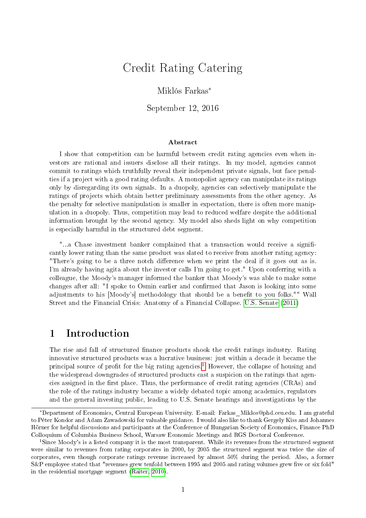# Credit Rating Catering

### Miklós Farkas<sup>∗</sup>

September 12, 2016

#### Abstract

I show that competition can be harmful between credit rating agencies even when investors are rational and issuers disclose all their ratings. In my model, agencies cannot commit to ratings which truthfully reveal their independent private signals, but face penalties if a project with a good rating defaults. A monopolist agency can manipulate its ratings only by disregarding its own signals. In a duopoly, agencies can selectively manipulate the ratings of projects which obtain better preliminary assessments from the other agency. As the penalty for selective manipulation is smaller in expectation, there is often more manipulation in a duopoly. Thus, competition may lead to reduced welfare despite the additional information brought by the second agency. My model also sheds light on why competition is especially harmful in the structured debt segment.

"...a Chase investment banker complained that a transaction would receive a significantly lower rating than the same product was slated to receive from another rating agency: "There's going to be a three notch difference when we print the deal if it goes out as is. I'm already having agita about the investor calls I'm going to get." Upon conferring with a colleague, the Moody's manager informed the banker that Moody's was able to make some changes after all: "I spoke to Osmin earlier and confirmed that Jason is looking into some adjustments to his [Moody's] methodology that should be a benefit to you folks."" Wall Street and the Financial Crisis: Anatomy of a Financial Collapse. [U.S. Senate](#page-30-0) [\(2011\)](#page-30-0)

## 1 Introduction

The rise and fall of structured finance products shook the credit ratings industry. Rating innovative structured products was a lucrative business: just within a decade it became the principal source of profit for the big rating agencies.<sup>[1](#page-0-0)</sup> However, the collapse of housing and the widespread downgrades of structured products cast a suspicion on the ratings that agencies assigned in the first place. Thus, the performance of credit rating agencies  $(CRAs)$  and the role of the ratings industry became a widely debated topic among academics, regulators and the general investing public, leading to U.S. Senate hearings and investigations by the

<sup>∗</sup>Department of Economics, Central European University. E-mail: Farkas\_Miklos@phd.ceu.edu. I am grateful to Péter Kondor and Adam Zawadowski for valuable guidance. I would also like to thank Gergely Kiss and Johannes Hörner for helpful discussions and participants at the Conference of Hungarian Society of Economics, Finance PhD Colloquium of Columbia Business School, Warsaw Economic Meetings and RGS Doctoral Conference.

<span id="page-0-0"></span><sup>&</sup>lt;sup>1</sup>Since Moody's is a listed company it is the most transparent. While its revenues from the structured segment were similar to revenues from rating corporates in 2000, by 2005 the structured segment was twice the size of corporates, even though corporate ratings revenue increased by almost 50% during the period. Also, a former  $S\&P$  employee stated that "revenues grew tenfold between 1995 and 2005 and rating volumes grew five or six fold" in the residential mortgage segment [\(Raiter, 2010\)](#page-30-1).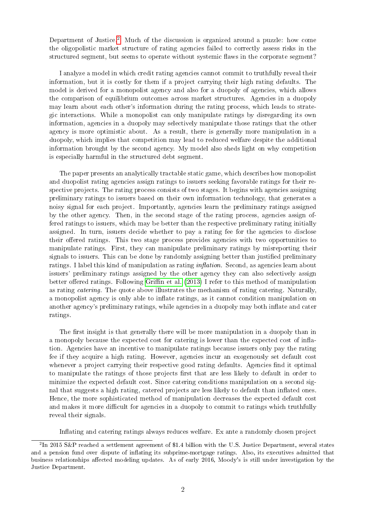Department of Justice.<sup>[2](#page-1-0)</sup> Much of the discussion is organized around a puzzle: how come the oligopolistic market structure of rating agencies failed to correctly assess risks in the structured segment, but seems to operate without systemic flaws in the corporate segment?

I analyze a model in which credit rating agencies cannot commit to truthfully reveal their information, but it is costly for them if a project carrying their high rating defaults. The model is derived for a monopolist agency and also for a duopoly of agencies, which allows the comparison of equilibrium outcomes across market structures. Agencies in a duopoly may learn about each other's information during the rating process, which leads to strategic interactions. While a monopolist can only manipulate ratings by disregarding its own information, agencies in a duopoly may selectively manipulate those ratings that the other agency is more optimistic about. As a result, there is generally more manipulation in a duopoly, which implies that competition may lead to reduced welfare despite the additional information brought by the second agency. My model also sheds light on why competition is especially harmful in the structured debt segment.

The paper presents an analytically tractable static game, which describes how monopolist and duopolist rating agencies assign ratings to issuers seeking favorable ratings for their respective projects. The rating process consists of two stages. It begins with agencies assigning preliminary ratings to issuers based on their own information technology, that generates a noisy signal for each project. Importantly, agencies learn the preliminary ratings assigned by the other agency. Then, in the second stage of the rating process, agencies assign offered ratings to issuers, which may be better than the respective preliminary rating initially assigned. In turn, issuers decide whether to pay a rating fee for the agencies to disclose their offered ratings. This two stage process provides agencies with two opportunities to manipulate ratings. First, they can manipulate preliminary ratings by misreporting their signals to issuers. This can be done by randomly assigning better than justied preliminary ratings. I label this kind of manipulation as rating  $inflation$ . Second, as agencies learn about issuers' preliminary ratings assigned by the other agency they can also selectively assign better offered ratings. Following Griffin et al.  $(2013)$  I refer to this method of manipulation as rating catering. The quote above illustrates the mechanism of rating catering. Naturally, a monopolist agency is only able to inflate ratings, as it cannot condition manipulation on another agency's preliminary ratings, while agencies in a duopoly may both inflate and cater ratings.

The first insight is that generally there will be more manipulation in a duopoly than in a monopoly because the expected cost for catering is lower than the expected cost of ination. Agencies have an incentive to manipulate ratings because issuers only pay the rating fee if they acquire a high rating. However, agencies incur an exogenously set default cost whenever a project carrying their respective good rating defaults. Agencies find it optimal to manipulate the ratings of those projects first that are less likely to default in order to minimize the expected default cost. Since catering conditions manipulation on a second signal that suggests a high rating, catered projects are less likely to default than inflated ones. Hence, the more sophisticated method of manipulation decreases the expected default cost and makes it more difficult for agencies in a duopoly to commit to ratings which truthfully reveal their signals.

Inflating and catering ratings always reduces welfare. Ex ante a randomly chosen project

<span id="page-1-0"></span><sup>&</sup>lt;sup>2</sup>In 2015 S&P reached a settlement agreement of \$1.4 billion with the U.S. Justice Department, several states and a pension fund over dispute of inflating its subprime-mortgage ratings. Also, its executives admitted that business relationships affected modeling updates. As of early 2016, Moody's is still under investigation by the Justice Department.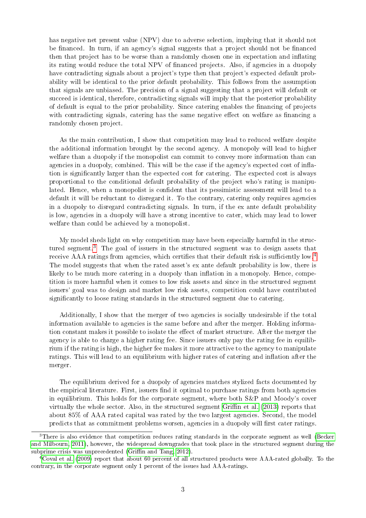has negative net present value (NPV) due to adverse selection, implying that it should not be financed. In turn, if an agency's signal suggests that a project should not be financed then that project has to be worse than a randomly chosen one in expectation and inflating its rating would reduce the total NPV of nanced projects. Also, if agencies in a duopoly have contradicting signals about a project's type then that project's expected default probability will be identical to the prior default probability. This follows from the assumption that signals are unbiased. The precision of a signal suggesting that a project will default or succeed is identical, therefore, contradicting signals will imply that the posterior probability of default is equal to the prior probability. Since catering enables the nancing of projects with contradicting signals, catering has the same negative effect on welfare as financing a randomly chosen project.

As the main contribution, I show that competition may lead to reduced welfare despite the additional information brought by the second agency. A monopoly will lead to higher welfare than a duopoly if the monopolist can commit to convey more information than can agencies in a duopoly, combined. This will be the case if the agency's expected cost of ination is signicantly larger than the expected cost for catering. The expected cost is always proportional to the conditional default probability of the project who's rating is manipulated. Hence, when a monopolist is confident that its pessimistic assessment will lead to a default it will be reluctant to disregard it. To the contrary, catering only requires agencies in a duopoly to disregard contradicting signals. In turn, if the ex ante default probability is low, agencies in a duopoly will have a strong incentive to cater, which may lead to lower welfare than could be achieved by a monopolist.

My model sheds light on why competition may have been especially harmful in the structured segment.[3](#page-2-0) The goal of issuers in the structured segment was to design assets that receive AAA ratings from agencies, which certifies that their default risk is sufficiently low.<sup>[4](#page-2-1)</sup> The model suggests that when the rated asset's ex ante default probability is low, there is likely to be much more catering in a duopoly than inflation in a monopoly. Hence, competition is more harmful when it comes to low risk assets and since in the structured segment issuers' goal was to design and market low risk assets, competition could have contributed significantly to loose rating standards in the structured segment due to catering.

Additionally, I show that the merger of two agencies is socially undesirable if the total information available to agencies is the same before and after the merger. Holding information constant makes it possible to isolate the effect of market structure. After the merger the agency is able to charge a higher rating fee. Since issuers only pay the rating fee in equilibrium if the rating is high, the higher fee makes it more attractive to the agency to manipulate ratings. This will lead to an equilibrium with higher rates of catering and inflation after the merger.

The equilibrium derived for a duopoly of agencies matches stylized facts documented by the empirical literature. First, issuers find it optimal to purchase ratings from both agencies in equilibrium. This holds for the corporate segment, where both S&P and Moody's cover virtually the whole sector. Also, in the structured segment Griffin et al. [\(2013\)](#page-30-2) reports that about 85% of AAA rated capital was rated by the two largest agencies. Second, the model predicts that as commitment problems worsen, agencies in a duopoly will first cater ratings.

<span id="page-2-0"></span><sup>&</sup>lt;sup>3</sup>There is also evidence that competition reduces rating standards in the corporate segment as well [\(Becker](#page-29-0) [and Milbourn, 2011\)](#page-29-0), however, the widespread downgrades that took place in the structured segment during the subprime crisis was unprecedented (Griffin and Tang, 2012).

<span id="page-2-1"></span><sup>4</sup>[Coval et al.](#page-29-1) [\(2009\)](#page-29-1) report that about 60 percent of all structured products were AAA-rated globally. To the contrary, in the corporate segment only 1 percent of the issues had AAA-ratings.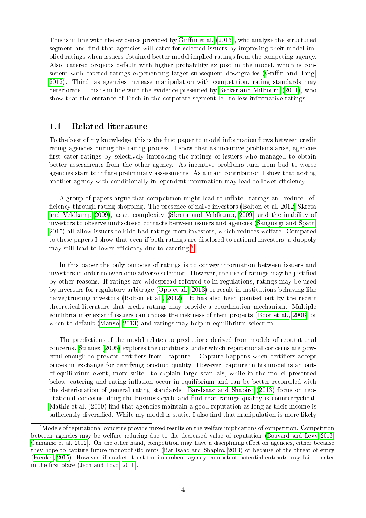This is in line with the evidence provided by Griffin et al. [\(2013\)](#page-30-2), who analyze the structured segment and find that agencies will cater for selected issuers by improving their model implied ratings when issuers obtained better model implied ratings from the competing agency. Also, catered projects default with higher probability ex post in the model, which is consistent with catered ratings experiencing larger subsequent downgrades (Griffin and Tang, [2012\)](#page-30-3). Third, as agencies increase manipulation with competition, rating standards may deteriorate. This is in line with the evidence presented by [Becker and Milbourn](#page-29-0) [\(2011\)](#page-29-0), who show that the entrance of Fitch in the corporate segment led to less informative ratings.

### 1.1 Related literature

To the best of my knowledge, this is the first paper to model information flows between credit rating agencies during the rating process. I show that as incentive problems arise, agencies first cater ratings by selectively improving the ratings of issuers who managed to obtain better assessments from the other agency. As incentive problems turn from bad to worse agencies start to inflate preliminary assessments. As a main contribution I show that adding another agency with conditionally independent information may lead to lower efficiency.

A group of papers argue that competition might lead to inflated ratings and reduced ef-ficiency through rating shopping. The presence of naive investors [\(Bolton et al. 2012;](#page-29-2) [Skreta](#page-30-4) [and Veldkamp 2009\)](#page-30-4), asset complexity [\(Skreta and Veldkamp, 2009\)](#page-30-4) and the inability of investors to observe undisclosed contacts between issuers and agencies [\(Sangiorgi and Spatt,](#page-30-5) [2015\)](#page-30-5) all allow issuers to hide bad ratings from investors, which reduces welfare. Compared to these papers I show that even if both ratings are disclosed to rational investors, a duopoly may still lead to lower efficiency due to catering.<sup>[5](#page-3-0)</sup>

In this paper the only purpose of ratings is to convey information between issuers and investors in order to overcome adverse selection. However, the use of ratings may be justied by other reasons. If ratings are widespread referred to in regulations, ratings may be used by investors for regulatory arbitrage [\(Opp et al., 2013\)](#page-30-6) or result in institutions behaving like naive/trusting investors [\(Bolton et al., 2012\)](#page-29-2). It has also been pointed out by the recent theoretical literature that credit ratings may provide a coordination mechanism. Multiple equilibria may exist if issuers can choose the riskiness of their projects [\(Boot et al., 2006\)](#page-29-3) or when to default [\(Manso, 2013\)](#page-30-7) and ratings may help in equilibrium selection.

The predictions of the model relates to predictions derived from models of reputational concerns. [Strausz](#page-30-8) [\(2005\)](#page-30-8) explores the conditions under which reputational concerns are powerful enough to prevent certifiers from "capture". Capture happens when certifiers accept bribes in exchange for certifying product quality. However, capture in his model is an outof-equilibrium event, more suited to explain large scandals, while in the model presented below, catering and rating inflation occur in equilibrium and can be better reconciled with the deterioration of general rating standards. [Bar-Isaac and Shapiro](#page-29-4) [\(2013\)](#page-29-4) focus on reputational concerns along the business cycle and find that ratings quality is countercyclical. [Mathis et al.](#page-30-9)  $(2009)$  find that agencies maintain a good reputation as long as their income is sufficiently diversified. While my model is static, I also find that manipulation is more likely

<span id="page-3-0"></span><sup>5</sup>Models of reputational concerns provide mixed results on the welfare implications of competition. Competition between agencies may be welfare reducing due to the decreased value of reputation [\(Bouvard and Levy 2013;](#page-29-5) [Camanho et al. 2012\)](#page-29-6). On the other hand, competition may have a disciplining effect on agencies, either because they hope to capture future monopolistic rents [\(Bar-Isaac and Shapiro, 2013\)](#page-29-4) or because of the threat of entry [\(Frenkel, 2015\)](#page-29-7). However, if markets trust the incumbent agency, competent potential entrants may fail to enter in the first place (Jeon and Lovo,  $2011$ ).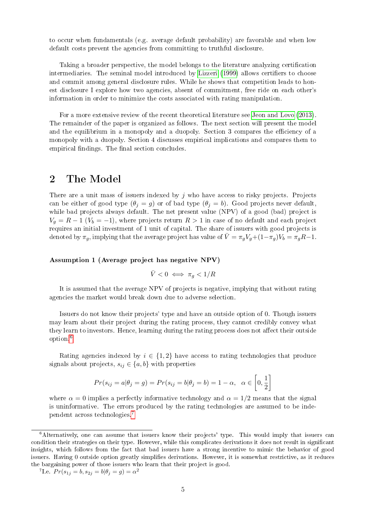to occur when fundamentals (e.g. average default probability) are favorable and when low default costs prevent the agencies from committing to truthful disclosure.

Taking a broader perspective, the model belongs to the literature analyzing certification intermediaries. The seminal model introduced by [Lizzeri](#page-30-11) [\(1999\)](#page-30-11) allows certifiers to choose and commit among general disclosure rules. While he shows that competition leads to honest disclosure I explore how two agencies, absent of commitment, free ride on each other's information in order to minimize the costs associated with rating manipulation.

For a more extensive review of the recent theoretical literature see [Jeon and Lovo](#page-30-12) [\(2013\)](#page-30-12). The remainder of the paper is organized as follows. The next section will present the model and the equilibrium in a monopoly and a duopoly. Section 3 compares the efficiency of a monopoly with a duopoly. Section 4 discusses empirical implications and compares them to empirical findings. The final section concludes.

## 2 The Model

There are a unit mass of issuers indexed by  $j$  who have access to risky projects. Projects can be either of good type  $(\theta_j = g)$  or of bad type  $(\theta_j = b)$ . Good projects never default, while bad projects always default. The net present value (NPV) of a good (bad) project is  $V_g = R - 1$  ( $V_b = -1$ ), where projects return  $R > 1$  in case of no default and each project requires an initial investment of 1 unit of capital. The share of issuers with good projects is denoted by  $\pi_g$ , implying that the average project has value of  $\bar{V} = \pi_g V_g + (1 - \pi_g)V_b = \pi_g R - 1$ .

<span id="page-4-3"></span>Assumption 1 (Average project has negative NPV)

<span id="page-4-2"></span>
$$
\bar{V} < 0 \iff \pi_g < 1/R
$$

It is assumed that the average NPV of projects is negative, implying that without rating agencies the market would break down due to adverse selection.

Issuers do not know their projects' type and have an outside option of 0. Though issuers may learn about their project during the rating process, they cannot credibly convey what they learn to investors. Hence, learning during the rating process does not affect their outside option.[6](#page-4-0)

Rating agencies indexed by  $i \in \{1,2\}$  have access to rating technologies that produce signals about projects,  $s_{ij} \in \{a, b\}$  with properties

$$
Pr(s_{ij} = a | \theta_j = g) = Pr(s_{ij} = b | \theta_j = b) = 1 - \alpha, \ \alpha \in \left[0, \frac{1}{2}\right]
$$

where  $\alpha = 0$  implies a perfectly informative technology and  $\alpha = 1/2$  means that the signal is uninformative. The errors produced by the rating technologies are assumed to be independent across technologies.[7](#page-4-1)

<span id="page-4-1"></span><sup>7</sup>Le.  $Pr(s_{1j} = b, s_{2j} = b | \theta_j = g) = \alpha^2$ 

<span id="page-4-0"></span><sup>&</sup>lt;sup>6</sup>Alternatively, one can assume that issuers know their projects' type. This would imply that issuers can condition their strategies on their type. However, while this complicates derivations it does not result in significant insights, which follows from the fact that bad issuers have a strong incentive to mimic the behavior of good issuers. Having 0 outside option greatly simplifies derivations. However, it is somewhat restrictive, as it reduces the bargaining power of those issuers who learn that their project is good.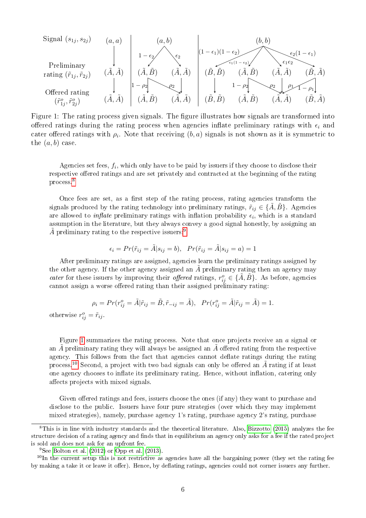<span id="page-5-2"></span>Signal 
$$
(s_{1j}, s_{2j})
$$
  $(a, a)$   
\n
$$
\begin{array}{|c|c|c|c|c|}\n\hline\n\end{array}\n\begin{array}{c|c|c|c|c|c}\n\hline\n\end{array}\n\begin{array}{c|c|c|c}\n\hline\n(a, b) & (a, b) & (b, b) & (c, b) & (d, b) & (e^{2(1 - \epsilon_{1})}) & (e^{2(1 - \epsilon_{1})}) & (e^{2(1 - \epsilon_{1})}) & (e^{2(1 - \epsilon_{1})}) & (e^{2(1 - \epsilon_{1})}) & (e^{2(1 - \epsilon_{1})}) & (e^{2(1 - \epsilon_{1})}) & (e^{2(1 - \epsilon_{1})}) & (e^{2(1 - \epsilon_{1})}) & (e^{2(1 - \epsilon_{1})}) & (e^{2(1 - \epsilon_{1})}) & (e^{2(1 - \epsilon_{1})}) & (e^{2(1 - \epsilon_{1})}) & (e^{2(1 - \epsilon_{1})}) & (e^{2(1 - \epsilon_{1})}) & (e^{2(1 - \epsilon_{1})}) & (e^{2(1 - \epsilon_{1})}) & (e^{2(1 - \epsilon_{1})}) & (e^{2(1 - \epsilon_{1})}) & (e^{2(1 - \epsilon_{1})}) & (e^{2(1 - \epsilon_{1})}) & (e^{2(1 - \epsilon_{1})}) & (e^{2(1 - \epsilon_{1})}) & (e^{2(1 - \epsilon_{1})}) & (e^{2(1 - \epsilon_{1})}) & (e^{2(1 - \epsilon_{1})}) & (e^{2(1 - \epsilon_{1})}) & (e^{2(1 - \epsilon_{1})}) & (e^{2(1 - \epsilon_{1})}) & (e^{2(1 - \epsilon_{1})}) & (e^{2(1 - \epsilon_{1})}) & (e^{2(1 - \epsilon_{1})}) & (e^{2(1 - \epsilon_{1})}) & (e^{2(1 - \epsilon_{1})}) & (e^{2(1 - \epsilon_{1})}) & (e^{2(1 - \epsilon_{1})}) & (e^{2(1 - \epsilon_{1})}) & (e^{2(1 - \epsilon_{1})}) & (e^{2(1 - \epsilon_{1})}) & (e^{2(1 - \epsilon_{1})}) & (e^{2(1 - \epsilon_{1})}) & (e^{2(1 - \epsilon_{1})}) & (e^{2(1 - \epsilon_{1})}) & (e^{2(1 - \epsilon_{1})}) & (e^{2(1 - \epsilon_{1})
$$

Figure 1: The rating process given signals. The figure illustrates how signals are transformed into offered ratings during the rating process when agencies inflate preliminary ratings with  $\epsilon_i$  and cater offered ratings with  $\rho_i$ . Note that receiving  $(b, a)$  signals is not shown as it is symmetric to the  $(a, b)$  case.

Agencies set fees,  $f_i$ , which only have to be paid by issuers if they choose to disclose their respective offered ratings and are set privately and contracted at the beginning of the rating process.[8](#page-5-0)

Once fees are set, as a first step of the rating process, rating agencies transform the signals produced by the rating technology into preliminary ratings,  $\tilde{r}_{ij} \in \{A, B\}$ . Agencies are allowed to *inflate* preliminary ratings with inflation probability  $\epsilon_i$ , which is a standard assumption in the literature, but they always convey a good signal honestly, by assigning an  $\tilde{A}$  preliminary rating to the respective issuers:<sup>[9](#page-5-1)</sup>

$$
\epsilon_i = Pr(\tilde{r}_{ij} = \tilde{A}|s_{ij} = b), \quad Pr(\tilde{r}_{ij} = \tilde{A}|s_{ij} = a) = 1
$$

After preliminary ratings are assigned, agencies learn the preliminary ratings assigned by the other agency. If the other agency assigned an  $\tilde{A}$  preliminary rating then an agency may cater for these issuers by improving their offered ratings,  $r_{ij}^o \in {\{\tilde{A}, \tilde{B}\}}$ . As before, agencies cannot assign a worse offered rating than their assigned preliminary rating:

$$
\rho_i = Pr(r_{ij}^o = \tilde{A} | \tilde{r}_{ij} = \tilde{B}, \tilde{r}_{-ij} = \tilde{A}), \quad Pr(r_{ij}^o = \tilde{A} | \tilde{r}_{ij} = \tilde{A}) = 1.
$$

otherwise  $r_{ij}^o = \tilde{r}_{ij}$ .

Figure [1](#page-5-2) summarizes the rating process. Note that once projects receive an a signal or an  $\tilde{A}$  preliminary rating they will always be assigned an  $\tilde{A}$  offered rating from the respective agency. This follows from the fact that agencies cannot deflate ratings during the rating process.<sup>[10](#page-5-3)</sup> Second, a project with two bad signals can only be offered an  $\tilde{A}$  rating if at least one agency chooses to inflate its preliminary rating. Hence, without inflation, catering only affects projects with mixed signals.

Given offered ratings and fees, issuers choose the ones (if any) they want to purchase and disclose to the public. Issuers have four pure strategies (over which they may implement mixed strategies), namely, purchase agency 1's rating, purchase agency 2's rating, purchase

<span id="page-5-0"></span><sup>8</sup>This is in line with industry standards and the theoretical literature. Also, [Bizzotto](#page-29-8) [\(2015\)](#page-29-8) analyzes the fee structure decision of a rating agency and finds that in equilibrium an agency only asks for a fee if the rated project is sold and does not ask for an upfront fee.

<span id="page-5-3"></span><span id="page-5-1"></span> ${}^{9}$ See [Bolton et al.](#page-29-2) [\(2012\)](#page-29-2) or [Opp et al.](#page-30-6) [\(2013\)](#page-30-6).

 $10$ In the current setup this is not restrictive as agencies have all the bargaining power (they set the rating fee by making a take it or leave it offer). Hence, by deflating ratings, agencies could not corner issuers any further.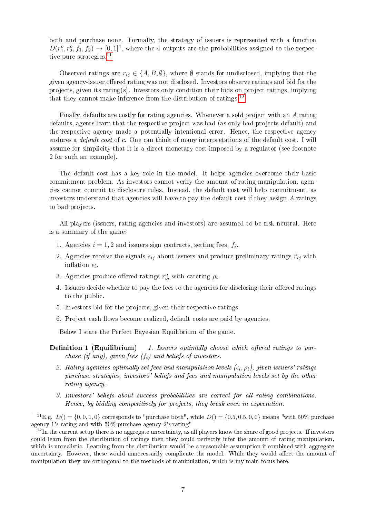both and purchase none. Formally, the strategy of issuers is represented with a function  $D(r_1^o, r_2^o, f_1, f_2) \rightarrow [0, 1]^4$ , where the 4 outputs are the probabilities assigned to the respec-tive pure strategies.<sup>[11](#page-6-0)</sup>

Observed ratings are  $r_{ij} \in \{A, B, \emptyset\}$ , where  $\emptyset$  stands for undisclosed, implying that the given agency-issuer offered rating was not disclosed. Investors observe ratings and bid for the projects, given its rating(s). Investors only condition their bids on project ratings, implying that they cannot make inference from the distribution of ratings. $12$ 

Finally, defaults are costly for rating agencies. Whenever a sold project with an A rating defaults, agents learn that the respective project was bad (as only bad projects default) and the respective agency made a potentially intentional error. Hence, the respective agency endures a *default cost* of c. One can think of many interpretations of the default cost. I will assume for simplicity that it is a direct monetary cost imposed by a regulator (see footnote 2 for such an example).

The default cost has a key role in the model. It helps agencies overcome their basic commitment problem. As investors cannot verify the amount of rating manipulation, agencies cannot commit to disclosure rules. Instead, the default cost will help commitment, as investors understand that agencies will have to pay the default cost if they assign A ratings to bad projects.

All players (issuers, rating agencies and investors) are assumed to be risk neutral. Here is a summary of the game:

- 1. Agencies  $i = 1, 2$  and issuers sign contracts, setting fees,  $f_i$ .
- 2. Agencies receive the signals  $s_{ij}$  about issuers and produce preliminary ratings  $\tilde{r}_{ij}$  with inflation  $\epsilon_i$ .
- 3. Agencies produce offered ratings  $r_{ij}^o$  with catering  $\rho_i$ .
- 4. Issuers decide whether to pay the fees to the agencies for disclosing their offered ratings to the public.
- 5. Investors bid for the projects, given their respective ratings.
- 6. Project cash flows become realized, default costs are paid by agencies.

Below I state the Perfect Bayesian Equilibrium of the game.

- **Definition 1 (Equilibrium)** 1. Issuers optimally choose which offered ratings to purchase (if any), given fees  $(f_i)$  and beliefs of investors.
	- 2. Rating agencies optimally set fees and manipulation levels  $(\epsilon_i, \rho_i)$ , given issuers' ratings purchase strategies, investors' beliefs and fees and manipulation levels set by the other rating agency.
	- 3. Investors' beliefs about success probabilities are correct for all rating combinations. Hence, by bidding competitively for projects, they break even in expectation.

<span id="page-6-0"></span><sup>11</sup>E.g.  $D() = \{0, 0, 1, 0\}$  corresponds to "purchase both", while  $D() = \{0.5, 0.5, 0, 0\}$  means "with 50% purchase agency 1's rating and with 50% purchase agency 2's rating"

<span id="page-6-1"></span> $12$ In the current setup there is no aggregate uncertainty, as all players know the share of good projects. If investors could learn from the distribution of ratings then they could perfectly infer the amount of rating manipulation, which is unrealistic. Learning from the distribution would be a reasonable assumption if combined with aggregate uncertainty. However, these would unnecessarily complicate the model. While they would affect the amount of manipulation they are orthogonal to the methods of manipulation, which is my main focus here.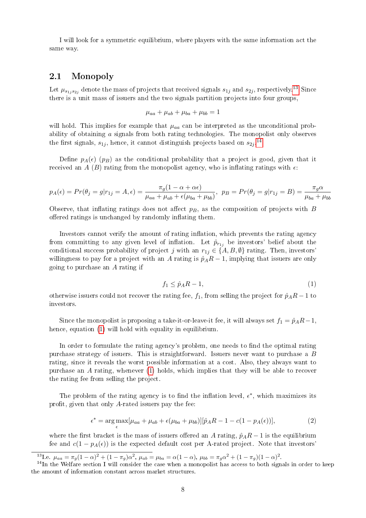I will look for a symmetric equilibrium, where players with the same information act the same way.

### 2.1 Monopoly

Let  $\mu_{s_1,s_2j}$  denote the mass of projects that received signals  $s_{1j}$  and  $s_{2j}$ , respectively.<sup>[13](#page-7-0)</sup> Since there is a unit mass of issuers and the two signals partition projects into four groups,

$$
\mu_{aa} + \mu_{ab} + \mu_{ba} + \mu_{bb} = 1
$$

will hold. This implies for example that  $\mu_{aa}$  can be interpreted as the unconditional probability of obtaining a signals from both rating technologies. The monopolist only observes the first signals,  $s_{1j}$ , hence, it cannot distinguish projects based on  $s_{2j}$ .<sup>[14](#page-7-1)</sup>

Define  $p_A(\epsilon)$  ( $p_B$ ) as the conditional probability that a project is good, given that it received an A (B) rating from the monopolist agency, who is inflating ratings with  $\epsilon$ .

$$
p_A(\epsilon) = Pr(\theta_j = g | r_{1j} = A, \epsilon) = \frac{\pi_g (1 - \alpha + \alpha \epsilon)}{\mu_{aa} + \mu_{ab} + \epsilon (\mu_{ba} + \mu_{bb})}, \ \ p_B = Pr(\theta_j = g | r_{1j} = B) = \frac{\pi_g \alpha}{\mu_{ba} + \mu_{bb}}
$$

Observe, that inflating ratings does not affect  $p_B$ , as the composition of projects with B offered ratings is unchanged by randomly inflating them.

Investors cannot verify the amount of rating inflation, which prevents the rating agency from committing to any given level of inflation. Let  $\hat{p}_{r_{1j}}$  be investors' belief about the conditional success probability of project j with an  $r_{1j} \in \{A, B, \emptyset\}$  rating. Then, investors' willingness to pay for a project with an A rating is  $\hat{p}_A R - 1$ , implying that issuers are only going to purchase an A rating if

$$
f_1 \le \hat{p}_A R - 1,\tag{1}
$$

otherwise issuers could not recover the rating fee,  $f_1$ , from selling the project for  $\hat{p}_A R - 1$  to investors.

Since the monopolist is proposing a take-it-or-leave-it fee, it will always set  $f_1 = \hat{p}_A R - 1$ , hence, equation [\(1\)](#page-4-2) will hold with equality in equilibrium.

In order to formulate the rating agency's problem, one needs to find the optimal rating purchase strategy of issuers. This is straightforward. Issuers never want to purchase a B rating, since it reveals the worst possible information at a cost. Also, they always want to purchase an A rating, whenever [\(1\)](#page-4-2) holds, which implies that they will be able to recover the rating fee from selling the project.

The problem of the rating agency is to find the inflation level,  $\epsilon^*$ , which maximizes its profit, given that only A-rated issuers pay the fee:

<span id="page-7-2"></span>
$$
\epsilon^* = \underset{\epsilon}{\arg\max} [\mu_{aa} + \mu_{ab} + \epsilon(\mu_{ba} + \mu_{bb})][\hat{p}_A R - 1 - c(1 - p_A(\epsilon))], \tag{2}
$$

where the first bracket is the mass of issuers offered an A rating,  $\hat{p}_AR - 1$  is the equilibrium fee and  $c(1 - p_A(\epsilon))$  is the expected default cost per A-rated project. Note that investors

<span id="page-7-1"></span><span id="page-7-0"></span><sup>&</sup>lt;sup>13</sup>I.e.  $\mu_{aa} = \pi_g (1 - \alpha)^2 + (1 - \pi_g) \alpha^2$ ,  $\mu_{ab} = \mu_{ba} = \alpha (1 - \alpha)$ ,  $\mu_{bb} = \pi_g \alpha^2 + (1 - \pi_g) (1 - \alpha)^2$ .

<sup>&</sup>lt;sup>14</sup>In the Welfare section I will consider the case when a monopolist has access to both signals in order to keep the amount of information constant across market structures.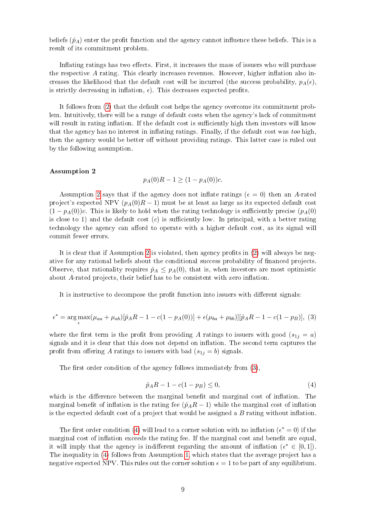beliefs  $(\hat{p}_A)$  enter the profit function and the agency cannot influence these beliefs. This is a result of its commitment problem.

Inflating ratings has two effects. First, it increases the mass of issuers who will purchase the respective  $A$  rating. This clearly increases revenues. However, higher inflation also increases the likelihood that the default cost will be incurred (the success probability,  $p_A(\epsilon)$ ). is strictly decreasing in inflation,  $\epsilon$ ). This decreases expected profits.

It follows from [\(2\)](#page-7-2) that the default cost helps the agency overcome its commitment problem. Intuitively, there will be a range of default costs when the agency's lack of commitment will result in rating inflation. If the default cost is sufficiently high then investors will know that the agency has no interest in inflating ratings. Finally, if the default cost was too high, then the agency would be better off without providing ratings. This latter case is ruled out by the following assumption.

#### <span id="page-8-0"></span>Assumption 2

<span id="page-8-1"></span>
$$
p_A(0)R - 1 \ge (1 - p_A(0))c.
$$

Assumption [2](#page-8-0) says that if the agency does not inflate ratings ( $\epsilon = 0$ ) then an A-rated project's expected NPV  $(p_A(0)R-1)$  must be at least as large as its expected default cost  $(1 - p_A(0))c$ . This is likely to hold when the rating technology is sufficiently precise  $(p_A(0))$ is close to 1) and the default cost  $(c)$  is sufficiently low. In principal, with a better rating technology the agency can afford to operate with a higher default cost, as its signal will commit fewer errors.

It is clear that if Assumption [2](#page-8-0) is violated, then agency profits in [\(2\)](#page-7-2) will always be negative for any rational beliefs about the conditional success probability of financed projects. Observe, that rationality requires  $\hat{p}_A \leq p_A(0)$ , that is, when investors are most optimistic about  $A$ -rated projects, their belief has to be consistent with zero inflation.

It is instructive to decompose the profit function into issuers with different signals:

$$
\epsilon^* = \arg \max_{\epsilon} (\mu_{aa} + \mu_{ab}) [\hat{p}_A R - 1 - c(1 - p_A(0))] + \epsilon (\mu_{ba} + \mu_{bb})] [\hat{p}_A R - 1 - c(1 - p_B)], \tag{3}
$$

where the first term is the profit from providing A ratings to issuers with good  $(s_{1j} = a)$ signals and it is clear that this does not depend on inflation. The second term captures the profit from offering A ratings to issuers with bad  $(s_{1j} = b)$  signals.

The first order condition of the agency follows immediately from  $(3)$ .

<span id="page-8-2"></span>
$$
\hat{p}_A R - 1 - c(1 - p_B) \le 0,\tag{4}
$$

which is the difference between the marginal benefit and marginal cost of inflation. The marginal benefit of inflation is the rating fee  $(\hat{p}_A R - 1)$  while the marginal cost of inflation is the expected default cost of a project that would be assigned a  $B$  rating without inflation.

The first order condition [\(4\)](#page-8-2) will lead to a corner solution with no inflation ( $\epsilon^* = 0$ ) if the marginal cost of inflation exceeds the rating fee. If the marginal cost and benefit are equal, it will imply that the agency is indifferent regarding the amount of inflation  $(\epsilon^* \in [0,1])$ . The inequality in [\(4\)](#page-8-2) follows from Assumption [1,](#page-4-3) which states that the average project has a negative expected NPV. This rules out the corner solution  $\epsilon = 1$  to be part of any equilibrium.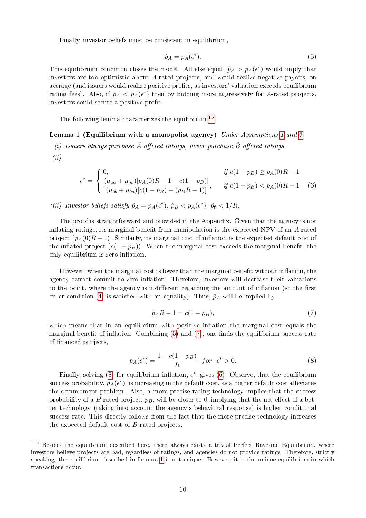Finally, investor beliefs must be consistent in equilibrium,

<span id="page-9-1"></span>
$$
\hat{p}_A = p_A(\epsilon^*). \tag{5}
$$

This equilibrium condition closes the model. All else equal,  $\hat{p}_A > p_A(\epsilon^*)$  would imply that investors are too optimistic about  $A$ -rated projects, and would realize negative payoffs, on average (and issuers would realize positive profits, as investors' valuation exceeds equilibrium rating fees). Also, if  $\hat{p}_A < p_A(\epsilon^*)$  then by bidding more aggressively for A-rated projects, investors could secure a positive profit.

The following lemma characterizes the equilibrium.<sup>[15](#page-9-0)</sup>

#### <span id="page-9-4"></span>Lemma [1](#page-4-3) (Equilibrium with a monopolist agency) Under Assumptions 1 and [2](#page-8-0)

(i) Issuers always purchase  $\tilde{A}$  offered ratings, never purchase  $\tilde{B}$  offered ratings.

 $(ii)$ 

$$
\epsilon^* = \begin{cases}\n0, & \text{if } c(1 - p) \ge p_A(0)R - 1 \\
\frac{(\mu_{aa} + \mu_{ab})[p_A(0)R - 1 - c(1 - p)]}{(\mu_{bb} + \mu_{ba})[c(1 - p) - (p_B R - 1)]}, & \text{if } c(1 - p) < p_A(0)R - 1 \\
\end{cases} \tag{6}
$$

### (iii) Investor beliefs satisfy  $\hat{p}_A = p_A(\epsilon^*)$ ,  $\hat{p}_B < p_A(\epsilon^*)$ ,  $\hat{p}_\emptyset < 1/R$ .

The proof is straightforward and provided in the Appendix. Given that the agency is not inflating ratings, its marginal benefit from manipulation is the expected NPV of an  $A$ -rated project  $(p_A(0)R-1)$ . Similarly, its marginal cost of inflation is the expected default cost of the inflated project  $(c(1-p_B))$ . When the marginal cost exceeds the marginal benefit, the only equilibrium is zero inflation.

However, when the marginal cost is lower than the marginal benefit without inflation, the agency cannot commit to zero inflation. Therefore, investors will decrease their valuations to the point, where the agency is indifferent regarding the amount of inflation (so the first order condition [\(4\)](#page-8-2) is satisfied with an equality). Thus,  $\hat{p}_A$  will be implied by

<span id="page-9-2"></span>
$$
\hat{p}_A R - 1 = c(1 - p_B),\tag{7}
$$

which means that in an equilibrium with positive inflation the marginal cost equals the marginal benefit of inflation. Combining  $(5)$  and  $(7)$ , one finds the equilibrium success rate of nanced projects,

<span id="page-9-3"></span>
$$
p_A(\epsilon^*) = \frac{1 + c(1 - p_B)}{R} \quad \text{for} \quad \epsilon^* > 0. \tag{8}
$$

Finally, solving [\(8\)](#page-9-3) for equilibrium inflation,  $\epsilon^*$ , gives [\(6\)](#page-9-4). Observe, that the equilibrium success probability,  $p_A(\epsilon^*)$ , is increasing in the default cost, as a higher default cost alleviates the commitment problem. Also, a more precise rating technology implies that the success probability of a B-rated project,  $p_B$ , will be closer to 0, implying that the net effect of a better technology (taking into account the agency's behavioral response) is higher conditional success rate. This directly follows from the fact that the more precise technology increases the expected default cost of B-rated projects.

<span id="page-9-0"></span><sup>&</sup>lt;sup>15</sup>Besides the equilibrium described here, there always exists a trivial Perfect Bayesian Equilibrium, where investors believe projects are bad, regardless of ratings, and agencies do not provide ratings. Therefore, strictly speaking, the equilibrium described in Lemma [1](#page-9-4) is not unique. However, it is the unique equilibrium in which transactions occur.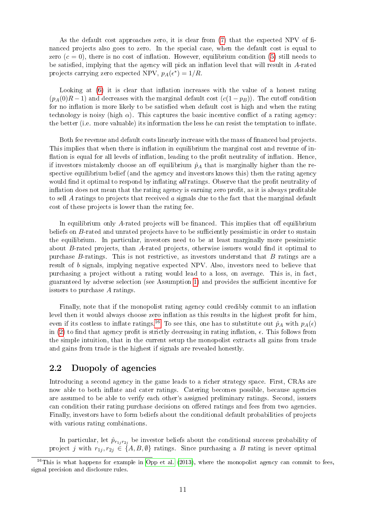As the default cost approaches zero, it is clear from  $(7)$  that the expected NPV of financed projects also goes to zero. In the special case, when the default cost is equal to zero  $(c = 0)$ , there is no cost of inflation. However, equilibrium condition [\(5\)](#page-9-1) still needs to be satisfied, implying that the agency will pick an inflation level that will result in  $A$ -rated projects carrying zero expected NPV,  $p_A(\epsilon^*) = 1/R$ .

Looking at  $(6)$  it is clear that inflation increases with the value of a honest rating  $(p_A(0)R-1)$  and decreases with the marginal default cost  $(c(1-p_B))$ . The cutoff condition for no inflation is more likely to be satisfied when default cost is high and when the rating technology is noisy (high  $\alpha$ ). This captures the basic incentive conflict of a rating agency: the better (i.e. more valuable) its information the less he can resist the temptation to inflate.

Both fee revenue and default costs linearly increase with the mass of financed bad projects. This implies that when there is inflation in equilibrium the marginal cost and revenue of inflation is equal for all levels of inflation, leading to the profit neutrality of inflation. Hence, if investors mistakenly choose an off equilibrium  $\hat{p}_A$  that is marginally higher than the respective equilibrium belief (and the agency and investors knows this) then the rating agency would find it optimal to respond by inflating all ratings. Observe that the profit neutrality of inflation does not mean that the rating agency is earning zero profit, as it is always profitable to sell  $\vec{A}$  ratings to projects that received  $\vec{a}$  signals due to the fact that the marginal default cost of these projects is lower than the rating fee.

In equilibrium only A-rated projects will be financed. This implies that off equilibrium beliefs on  $B$ -rated and unrated projects have to be sufficiently pessimistic in order to sustain the equilibrium. In particular, investors need to be at least marginally more pessimistic about  $B$ -rated projects, than  $A$ -rated projects, otherwise issuers would find it optimal to purchase B-ratings. This is not restrictive, as investors understand that B ratings are a result of b signals, implying negative expected NPV. Also, investors need to believe that purchasing a project without a rating would lead to a loss, on average. This is, in fact, guaranteed by adverse selection (see Assumption [1\)](#page-4-3) and provides the sufficient incentive for issuers to purchase A ratings.

Finally, note that if the monopolist rating agency could credibly commit to an inflation level then it would always choose zero inflation as this results in the highest profit for him. even if its costless to inflate ratings.<sup>[16](#page-10-0)</sup> To see this, one has to substitute out  $\hat{p}_A$  with  $p_A(\epsilon)$ in [\(2\)](#page-7-2) to find that agency profit is strictly decreasing in rating inflation,  $\epsilon$ . This follows from the simple intuition, that in the current setup the monopolist extracts all gains from trade and gains from trade is the highest if signals are revealed honestly.

### 2.2 Duopoly of agencies

Introducing a second agency in the game leads to a richer strategy space. First, CRAs are now able to both inflate and cater ratings. Catering becomes possible, because agencies are assumed to be able to verify each other's assigned preliminary ratings. Second, issuers can condition their rating purchase decisions on offered ratings and fees from two agencies. Finally, investors have to form beliefs about the conditional default probabilities of projects with various rating combinations.

In particular, let  $\hat{p}_{r_{1j}r_{2j}}$  be investor beliefs about the conditional success probability of project j with  $r_{1j}, r_{2j} \in \{A, B, \emptyset\}$  ratings. Since purchasing a B rating is never optimal

<span id="page-10-0"></span><sup>&</sup>lt;sup>16</sup>This is what happens for example in [Opp et al.](#page-30-6) [\(2013\)](#page-30-6), where the monopolist agency can commit to fees, signal precision and disclosure rules.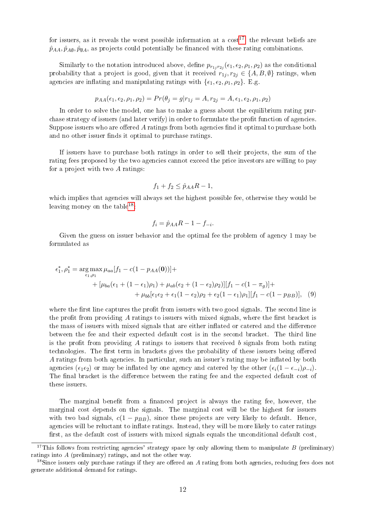for issuers, as it reveals the worst possible information at a  $\text{cost}^{17}$  $\text{cost}^{17}$  $\text{cost}^{17}$ , the relevant beliefs are  $\hat{p}_{AA}, \hat{p}_{A\emptyset}, \hat{p}_{\emptyset A}$ , as projects could potentially be financed with these rating combinations.

Similarly to the notation introduced above, define  $p_{r_1j r_2j}(\epsilon_1, \epsilon_2, \rho_1, \rho_2)$  as the conditional probability that a project is good, given that it received  $r_{1j}$ ,  $r_{2j} \in \{A, B, \emptyset\}$  ratings, when agencies are inflating and manipulating ratings with  $\{\epsilon_1, \epsilon_2, \rho_1, \rho_2\}$ . E.g.

<span id="page-11-2"></span>
$$
p_{AA}(\epsilon_1, \epsilon_2, \rho_1, \rho_2) = Pr(\theta_j = g | r_{1j} = A, r_{2j} = A, \epsilon_1, \epsilon_2, \rho_1, \rho_2)
$$

In order to solve the model, one has to make a guess about the equilibrium rating purchase strategy of issuers (and later verify) in order to formulate the profit function of agencies. Suppose issuers who are offered  $A$  ratings from both agencies find it optimal to purchase both and no other issuer finds it optimal to purchase ratings.

If issuers have to purchase both ratings in order to sell their projects, the sum of the rating fees proposed by the two agencies cannot exceed the price investors are willing to pay for a project with two A ratings:

$$
f_1 + f_2 \le \hat{p}_{AA}R - 1,
$$

which implies that agencies will always set the highest possible fee, otherwise they would be leaving money on the table  $18$ :

$$
f_i = \hat{p}_{AA}R - 1 - f_{-i}.
$$

Given the guess on issuer behavior and the optimal fee the problem of agency 1 may be formulated as

$$
\epsilon_1^*, \rho_1^* = \underset{\epsilon_1, \rho_1}{\arg \max \mu_{aa} [f_1 - c(1 - p_{AA}(0))] +} + [\mu_{ba}(\epsilon_1 + (1 - \epsilon_1)\rho_1) + \mu_{ab}(\epsilon_2 + (1 - \epsilon_2)\rho_2)][f_1 - c(1 - \pi_g)] +
$$
  
+ 
$$
+ \mu_{bb}[\epsilon_1 \epsilon_2 + \epsilon_1(1 - \epsilon_2)\rho_2 + \epsilon_2(1 - \epsilon_1)\rho_1][f_1 - c(1 - p_{BB})], \quad (9)
$$

where the first line captures the profit from issuers with two good signals. The second line is the profit from providing  $A$  ratings to issuers with mixed signals, where the first bracket is the mass of issuers with mixed signals that are either inflated or catered and the difference between the fee and their expected default cost is in the second bracket. The third line is the profit from providing  $\tilde{A}$  ratings to issuers that received b signals from both rating technologies. The first term in brackets gives the probability of these issuers being offered A ratings from both agencies. In particular, such an issuer's rating may be inflated by both agencies ( $\epsilon_1 \epsilon_2$ ) or may be inflated by one agency and catered by the other  $(\epsilon_i(1 - \epsilon_{-i})\rho_{-i})$ . The final bracket is the difference between the rating fee and the expected default cost of these issuers.

The marginal benefit from a financed project is always the rating fee, however, the marginal cost depends on the signals. The marginal cost will be the highest for issuers with two bad signals,  $c(1 - p_{BB})$ , since these projects are very likely to default. Hence, agencies will be reluctant to inflate ratings. Instead, they will be more likely to cater ratings first, as the default cost of issuers with mixed signals equals the unconditional default cost,

<span id="page-11-0"></span><sup>&</sup>lt;sup>17</sup>This follows from restricting agencies' strategy space by only allowing them to manipulate B (preliminary) ratings into A (preliminary) ratings, and not the other way.

<span id="page-11-1"></span> $18$ Since issuers only purchase ratings if they are offered an A rating from both agencies, reducing fees does not generate additional demand for ratings.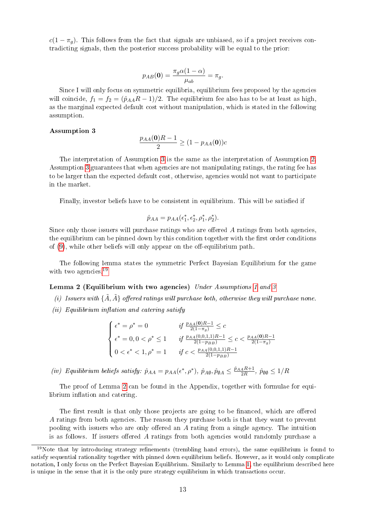$c(1 - \pi_q)$ . This follows from the fact that signals are unbiased, so if a project receives contradicting signals, then the posterior success probability will be equal to the prior:

<span id="page-12-3"></span>
$$
p_{AB}(\mathbf{0}) = \frac{\pi_g \alpha (1 - \alpha)}{\mu_{ab}} = \pi_g.
$$

Since I will only focus on symmetric equilibria, equilibrium fees proposed by the agencies will coincide,  $f_1 = f_2 = (\hat{p}_{AA}R - 1)/2$ . The equilibrium fee also has to be at least as high, as the marginal expected default cost without manipulation, which is stated in the following assumption.

#### <span id="page-12-0"></span>Assumption 3

$$
\frac{p_{AA}(\mathbf{0})R - 1}{2} \ge (1 - p_{AA}(\mathbf{0}))c
$$

The interpretation of Assumption [3](#page-12-0) is the same as the interpretation of Assumption [2.](#page-8-0) Assumption [3](#page-12-0) guarantees that when agencies are not manipulating ratings, the rating fee has to be larger than the expected default cost, otherwise, agencies would not want to participate in the market.

Finally, investor beliefs have to be consistent in equilibrium. This will be satised if

$$
\hat{p}_{AA} = p_{AA}(\epsilon_1^*, \epsilon_2^*, \rho_1^*, \rho_2^*).
$$

Since only those issuers will purchase ratings who are offered  $A$  ratings from both agencies. the equilibrium can be pinned down by this condition together with the first order conditions of  $(9)$ , while other beliefs will only appear on the off-equilibrium path.

The following lemma states the symmetric Perfect Bayesian Equilibrium for the game with two agencies.<sup>[19](#page-12-1)</sup>

### <span id="page-12-2"></span>Lemma 2 (Equilibrium with two agencies) Under Assumptions [1](#page-4-3) and [3](#page-12-0)

- (i) Issuers with  $\{\tilde{A}, \tilde{A}\}$  offered ratings will purchase both, otherwise they will purchase none.
- $(ii)$  Equilibrium inflation and catering satisfy

$$
\begin{cases}\n\epsilon^* = \rho^* = 0 & \text{if } \frac{p_{AA}(0)R-1}{2(1-\pi_g)} \le c \\
\epsilon^* = 0, 0 < \rho^* \le 1 & \text{if } \frac{p_{AA}(0,0,1,1)R-1}{2(1-p_{BB})} \le c < \frac{p_{AA}(0)R-1}{2(1-\pi_g)} \\
0 < \epsilon^* < 1, \rho^* = 1 & \text{if } c < \frac{p_{AA}(0,0,1,1)R-1}{2(1-p_{BB})}\n\end{cases}
$$

(iv) Equilibrium beliefs satisfy:  $\hat{p}_{AA} = p_{AA}(\epsilon^*, \rho^*)$ ,  $\hat{p}_{A\emptyset}$ ,  $\hat{p}_{\emptyset A} \leq \frac{\hat{p}_{AA}R+1}{2R}$ ,  $\hat{p}_{\emptyset\emptyset} \leq 1/R$ 

The proof of Lemma [2](#page-12-2) can be found in the Appendix, together with formulae for equilibrium inflation and catering.

The first result is that only those projects are going to be financed, which are offered A ratings from both agencies. The reason they purchase both is that they want to prevent pooling with issuers who are only offered an  $A$  rating from a single agency. The intuition is as follows. If issuers offered A ratings from both agencies would randomly purchase a

<span id="page-12-1"></span> $19$ Note that by introducing strategy refinements (trembling hand errors), the same equilibrium is found to satisfy sequential rationality together with pinned down equilibrium beliefs. However, as it would only complicate notation, I only focus on the Perfect Bayesian Equilibrium. Similarly to Lemma [1,](#page-9-4) the equilibrium described here is unique in the sense that it is the only pure strategy equilibrium in which transactions occur.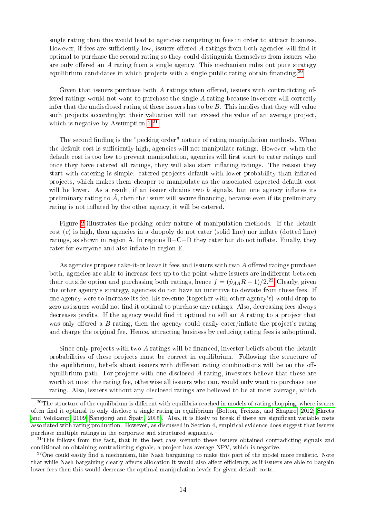single rating then this would lead to agencies competing in fees in order to attract business. However, if fees are sufficiently low, issuers offered  $A$  ratings from both agencies will find it optimal to purchase the second rating so they could distinguish themselves from issuers who are only offered an  $A$  rating from a single agency. This mechanism rules out pure strategy equilibrium candidates in which projects with a single public rating obtain financing.<sup>[20](#page-13-0)</sup>

Given that issuers purchase both  $A$  ratings when offered, issuers with contradicting offered ratings would not want to purchase the single A rating because investors will correctly infer that the undisclosed rating of these issuers has to be  $B$ . This implies that they will value such projects accordingly: their valuation will not exceed the value of an average project, which is negative by Assumption  $1<sup>21</sup>$  $1<sup>21</sup>$  $1<sup>21</sup>$ 

The second finding is the "pecking order" nature of rating manipulation methods. When the default cost is sufficiently high, agencies will not manipulate ratings. However, when the default cost is too low to prevent manipulation, agencies will first start to cater ratings and once they have catered all ratings, they will also start inflating ratings. The reason they start with catering is simple: catered projects default with lower probability than inflated projects, which makes them cheaper to manipulate as the associated expected default cost will be lower. As a result, if an issuer obtains two  $b$  signals, but one agency inflates its preliminary rating to  $\tilde{A}$ , then the issuer will secure financing, because even if its preliminary rating is not inflated by the other agency, it will be catered.

Figure [2](#page-14-0) illustrates the pecking order nature of manipulation methods. If the default  $\cot(c)$  is high, then agencies in a duopoly do not cater (solid line) nor inflate (dotted line) ratings, as shown in region A. In regions  $B+C+D$  they cater but do not inflate. Finally, they cater for everyone and also inflate in region E.

As agencies propose take-it-or leave it fees and issuers with two  $A$  offered ratings purchase both, agencies are able to increase fees up to the point where issuers are indifferent between their outside option and purchasing both ratings, hence  $f = (\hat{p}_{AA}R - 1)/2^{22}$  $f = (\hat{p}_{AA}R - 1)/2^{22}$  $f = (\hat{p}_{AA}R - 1)/2^{22}$  Clearly, given the other agency's strategy, agencies do not have an incentive to deviate from these fees. If one agency were to increase its fee, his revenue (together with other agency's) would drop to zero as issuers would not find it optimal to purchase any ratings. Also, decreasing fees always decreases profits. If the agency would find it optimal to sell an  $A$  rating to a project that was only offered a B rating, then the agency could easily cater/inflate the project's rating and charge the original fee. Hence, attracting business by reducing rating fees is suboptimal.

Since only projects with two  $\tilde{A}$  ratings will be financed, investor beliefs about the default probabilities of these projects must be correct in equilibrium. Following the structure of the equilibrium, beliefs about issuers with different rating combinations will be on the offequilibrium path. For projects with one disclosed  $A$  rating, investors believe that these are worth at most the rating fee, otherwise all issuers who can, would only want to purchase one rating. Also, issuers without any disclosed ratings are believed to be at most average, which

<span id="page-13-0"></span> $^{20}$ The structure of the equilibrium is different with equilibria reached in models of rating shopping, where issuers often nd it optimal to only disclose a single rating in equilibrium [\(Bolton, Freixas, and Shapiro, 2012;](#page-29-2) [Skreta](#page-30-4) [and Veldkamp, 2009;](#page-30-4) [Sangiorgi and Spatt, 2015\)](#page-30-5). Also, it is likely to break if there are signicant variable costs associated with rating production. However, as discussed in Section 4, empirical evidence does suggest that issuers purchase multiple ratings in the corporate and structured segments.

<span id="page-13-1"></span><sup>&</sup>lt;sup>21</sup>This follows from the fact, that in the best case scenario these issuers obtained contradicting signals and conditional on obtaining contradicting signals, a project has average NPV, which is negative.

<span id="page-13-2"></span> $^{22}$ One could easily find a mechanism, like Nash bargaining to make this part of the model more realistic. Note that while Nash bargaining clearly affects allocation it would also affect efficiency, as if issuers are able to bargain lower fees then this would decrease the optimal manipulation levels for given default costs.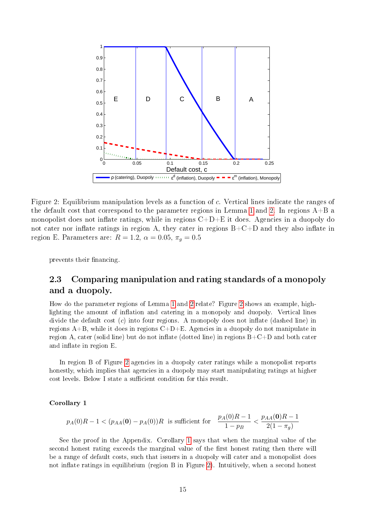<span id="page-14-0"></span>

Figure 2: Equilibrium manipulation levels as a function of c. Vertical lines indicate the ranges of the default cost that correspond to the parameter regions in Lemma [1](#page-9-4) and [2.](#page-12-2) In regions  $A+B$  a monopolist does not inflate ratings, while in regions  $C+D+E$  it does. Agencies in a duopoly do not cater nor inflate ratings in region A, they cater in regions  $B+C+D$  and they also inflate in region E. Parameters are:  $R = 1.2$ ,  $\alpha = 0.05$ ,  $\pi_g = 0.5$ 

prevents their financing.

## 2.3 Comparing manipulation and rating standards of a monopoly and a duopoly.

How do the parameter regions of Lemma [1](#page-9-4) and [2](#page-12-2) relate? Figure [2](#page-14-0) shows an example, highlighting the amount of inflation and catering in a monopoly and duopoly. Vertical lines divide the default cost  $(c)$  into four regions. A monopoly does not inflate (dashed line) in regions  $A+B$ , while it does in regions  $C+D+E$ . Agencies in a duopoly do not manipulate in region A, cater (solid line) but do not inflate (dotted line) in regions  $B+C+D$  and both cater and inflate in region E.

In region B of Figure [2](#page-14-0) agencies in a duopoly cater ratings while a monopolist reports honestly, which implies that agencies in a duopoly may start manipulating ratings at higher cost levels. Below I state a sufficient condition for this result.

#### <span id="page-14-1"></span>Corollary 1

$$
p_A(0)R - 1 < (p_{AA}(0) - p_A(0))R \text{ is sufficient for } \frac{p_A(0)R - 1}{1 - p_B} < \frac{p_{AA}(0)R - 1}{2(1 - \pi_g)}
$$

See the proof in the Appendix. Corollary [1](#page-14-1) says that when the marginal value of the second honest rating exceeds the marginal value of the first honest rating then there will be a range of default costs, such that issuers in a duopoly will cater and a monopolist does not inflate ratings in equilibrium (region B in Figure [2\)](#page-14-0). Intuitively, when a second honest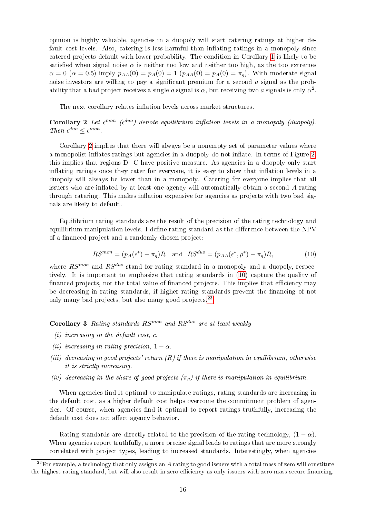opinion is highly valuable, agencies in a duopoly will start catering ratings at higher default cost levels. Also, catering is less harmful than inflating ratings in a monopoly since catered projects default with lower probability. The condition in Corollary [1](#page-14-1) is likely to be satisfied when signal noise  $\alpha$  is neither too low and neither too high, as the too extremes  $\alpha = 0$  ( $\alpha = 0.5$ ) imply  $p_{AA}(\mathbf{0}) = p_A(0) = 1$  ( $p_{AA}(\mathbf{0}) = p_A(0) = \pi_g$ ). With moderate signal noise investors are willing to pay a significant premium for a second  $\alpha$  signal as the probability that a bad project receives a single  $a$  signal is  $\alpha,$  but receiving two  $a$  signals is only  $\alpha^2.$ 

The next corollary relates inflation levels across market structures.

<span id="page-15-0"></span>Corollary 2 Let  $\epsilon^{mon}$  ( $\epsilon^{duo}$ ) denote equilibrium inflation levels in a monopoly (duopoly). Then  $\epsilon^{duo} \leq \epsilon^{mon}$ .

Corollary [2](#page-15-0) implies that there will always be a nonempty set of parameter values where a monopolist inflates ratings but agencies in a duopoly do not inflate. In terms of Figure [2,](#page-14-0) this implies that regions  $D+C$  have positive measure. As agencies in a duopoly only start inflating ratings once they cater for everyone, it is easy to show that inflation levels in a duopoly will always be lower than in a monopoly. Catering for everyone implies that all issuers who are inflated by at least one agency will automatically obtain a second  $A$  rating through catering. This makes inflation expensive for agencies as projects with two bad signals are likely to default.

Equilibrium rating standards are the result of the precision of the rating technology and equilibrium manipulation levels. I define rating standard as the difference between the  $NPV$ of a financed project and a randomly chosen project:

$$
RS^{mon} = (p_A(\epsilon^*) - \pi_g)R \quad \text{and} \quad RS^{duo} = (p_{AA}(\epsilon^*, \rho^*) - \pi_g)R,\tag{10}
$$

where  $RS^{mon}$  and  $RS^{duo}$  stand for rating standard in a monopoly and a duopoly, respectively. It is important to emphasize that rating standards in [\(10\)](#page-12-3) capture the quality of financed projects, not the total value of financed projects. This implies that efficiency may be decreasing in rating standards, if higher rating standards prevent the financing of not only many bad projects, but also many good projects.<sup>[23](#page-15-1)</sup>

<span id="page-15-2"></span>Corollary 3 Rating standards  $RS^{mon}$  and  $RS^{duo}$  are at least weakly

- $(i)$  increasing in the default cost, c.
- (ii) increasing in rating precision,  $1 \alpha$ .
- (iii) decreasing in good projects' return  $(R)$  if there is manipulation in equilibrium, otherwise it is strictly increasing.
- (iv) decreasing in the share of good projects  $(\pi_q)$  if there is manipulation in equilibrium.

When agencies find it optimal to manipulate ratings, rating standards are increasing in the default cost, as a higher default cost helps overcome the commitment problem of agencies. Of course, when agencies find it optimal to report ratings truthfully, increasing the default cost does not affect agency behavior.

Rating standards are directly related to the precision of the rating technology,  $(1 - \alpha)$ . When agencies report truthfully, a more precise signal leads to ratings that are more strongly correlated with project types, leading to increased standards. Interestingly, when agencies

<span id="page-15-1"></span> $^{23}$ For example, a technology that only assigns an A rating to good issuers with a total mass of zero will constitute the highest rating standard, but will also result in zero efficiency as only issuers with zero mass secure financing.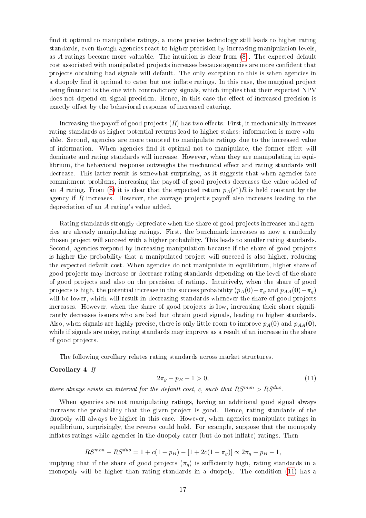find it optimal to manipulate ratings, a more precise technology still leads to higher rating standards, even though agencies react to higher precision by increasing manipulation levels, as A ratings become more valuable. The intuition is clear from [\(8\)](#page-9-3). The expected default cost associated with manipulated projects increases because agencies are more condent that projects obtaining bad signals will default. The only exception to this is when agencies in a duopoly find it optimal to cater but not inflate ratings. In this case, the marginal project being financed is the one with contradictory signals, which implies that their expected NPV does not depend on signal precision. Hence, in this case the effect of increased precision is exactly offset by the behavioral response of increased catering.

Increasing the payoff of good projects  $(R)$  has two effects. First, it mechanically increases rating standards as higher potential returns lead to higher stakes: information is more valuable. Second, agencies are more tempted to manipulate ratings due to the increased value of information. When agencies find it optimal not to manipulate, the former effect will dominate and rating standards will increase. However, when they are manipulating in equilibrium, the behavioral response outweighs the mechanical effect and rating standards will decrease. This latter result is somewhat surprising, as it suggests that when agencies face commitment problems, increasing the payoff of good projects decreases the value added of an A rating. From [\(8\)](#page-9-3) it is clear that the expected return  $p_A(\epsilon^*)R$  is held constant by the agency if  $R$  increases. However, the average project's payoff also increases leading to the depreciation of an A rating's value added.

Rating standards strongly depreciate when the share of good projects increases and agencies are already manipulating ratings. First, the benchmark increases as now a randomly chosen project will succeed with a higher probability. This leads to smaller rating standards. Second, agencies respond by increasing manipulation because if the share of good projects is higher the probability that a manipulated project will succeed is also higher, reducing the expected default cost. When agencies do not manipulate in equilibrium, higher share of good projects may increase or decrease rating standards depending on the level of the share of good projects and also on the precision of ratings. Intuitively, when the share of good projects is high, the potential increase in the success probability  $(p_A(0)-\pi_g$  and  $p_{AA}(0)-\pi_g$ will be lower, which will result in decreasing standards whenever the share of good projects increases. However, when the share of good projects is low, increasing their share significantly decreases issuers who are bad but obtain good signals, leading to higher standards. Also, when signals are highly precise, there is only little room to improve  $p_A(0)$  and  $p_{AA}(0)$ , while if signals are noisy, rating standards may improve as a result of an increase in the share of good projects.

The following corollary relates rating standards across market structures.

#### <span id="page-16-1"></span>Corollary 4 If

<span id="page-16-0"></span>
$$
2\pi_g - p_B - 1 > 0,\t\t(11)
$$

there always exists an interval for the default cost, c, such that  $RS^{mon} > RS^{duo}$ .

When agencies are not manipulating ratings, having an additional good signal always increases the probability that the given project is good. Hence, rating standards of the duopoly will always be higher in this case. However, when agencies manipulate ratings in equilibrium, surprisingly, the reverse could hold. For example, suppose that the monopoly inflates ratings while agencies in the duopoly cater (but do not inflate) ratings. Then

$$
RS^{mon} - RS^{duo} = 1 + c(1 - p_B) - [1 + 2c(1 - \pi_g)] \propto 2\pi_g - p_B - 1,
$$

implying that if the share of good projects  $(\pi_q)$  is sufficiently high, rating standards in a monopoly will be higher than rating standards in a duopoly. The condition [\(11\)](#page-16-0) has a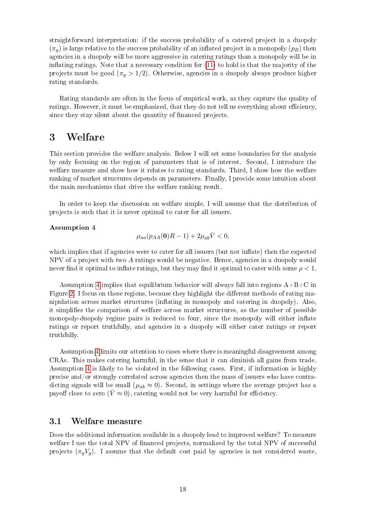straightforward interpretation: if the success probability of a catered project in a duopoly  $(\pi_q)$  is large relative to the success probability of an inflated project in a monopoly  $(p_B)$  then agencies in a duopoly will be more aggressive in catering ratings than a monopoly will be in inflating ratings. Note that a necessary condition for  $(11)$  to hold is that the majority of the projects must be good  $(\pi_g > 1/2)$ . Otherwise, agencies in a duopoly always produce higher rating standards.

Rating standards are often in the focus of empirical work, as they capture the quality of ratings. However, it must be emphasized, that they do not tell us everything about efficiency. since they stay silent about the quantity of financed projects.

## 3 Welfare

This section provides the welfare analysis. Below I will set some boundaries for the analysis by only focusing on the region of parameters that is of interest. Second, I introduce the welfare measure and show how it relates to rating standards. Third, I show how the welfare ranking of market structures depends on parameters. Finally, I provide some intuition about the main mechanisms that drive the welfare ranking result.

In order to keep the discussion on welfare simple, I will assume that the distribution of projects is such that it is never optimal to cater for all issuers.

#### <span id="page-17-0"></span>Assumption 4

<span id="page-17-1"></span>
$$
\mu_{aa}(p_{AA}(\mathbf{0})R-1)+2\mu_{ab}\bar{V}<0,
$$

which implies that if agencies were to cater for all issuers (but not inflate) then the expected NPV of a project with two A ratings would be negative. Hence, agencies in a duopoly would never find it optimal to inflate ratings, but they may find it optimal to cater with some  $\rho < 1$ .

Assumption [4](#page-17-0) implies that equilibrium behavior will always fall into regions  $A+B+C$  in Figure [2.](#page-14-0) I focus on these regions, because they highlight the different methods of rating manipulation across market structures (inflating in monopoly and catering in duopoly). Also, it simplies the comparison of welfare across market structures, as the number of possible monopoly-duopoly regime pairs is reduced to four, since the monopoly will either inflate ratings or report truthfully, and agencies in a duopoly will either cater ratings or report truthfully.

Assumption [4](#page-17-0) limits our attention to cases where there is meaningful disagreement among CRAs. This makes catering harmful, in the sense that it can diminish all gains from trade. Assumption [4](#page-17-0) is likely to be violated in the following cases. First, if information is highly precise and/or strongly correlated across agencies then the mass of issuers who have contradicting signals will be small ( $\mu_{ab} \approx 0$ ). Second, in settings where the average project has a payoff close to zero ( $\bar{V} \approx 0$ ), catering would not be very harmful for efficiency.

### 3.1 Welfare measure

Does the additional information available in a duopoly lead to improved welfare? To measure welfare I use the total NPV of financed projects, normalized by the total NPV of successful projects  $(\pi_g V_g)$ . I assume that the default cost paid by agencies is not considered waste,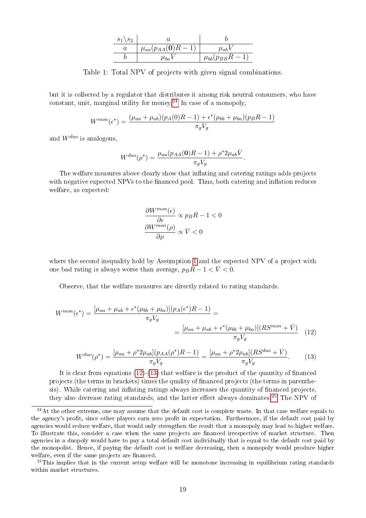| $s_1 \backslash s_2$ |                                               |                       |
|----------------------|-----------------------------------------------|-----------------------|
|                      | ${}^+\mu_{aa}(p_{AA}({\bf 0})\overline{R-1})$ | $\mu_{ab}$            |
|                      | $\mu_{ba}$ $\iota$                            | $\mu_{bb}(p_{BB}R-1)$ |

Table 1: Total NPV of projects with given signal combinations.

<span id="page-18-3"></span>but it is collected by a regulator that distributes it among risk neutral consumers, who have constant, unit, marginal utility for money.<sup>[24](#page-18-0)</sup> In case of a monopoly,

$$
W^{mon}(\epsilon^*) = \frac{(\mu_{aa} + \mu_{ab})(p_A(0)R - 1) + \epsilon^*(\mu_{bb} + \mu_{ba})(p_BR - 1)}{\pi_g V_g}
$$

and  $W^{duo}$  is analogous,

$$
W^{duo}(\rho^*) = \frac{\mu_{aa}(p_{AA}(\mathbf{0})R - 1) + \rho^* 2\mu_{ab} \bar{V}}{\pi_g V_g}.
$$

The welfare measures above clearly show that inflating and catering ratings adds projects with negative expected NPVs to the financed pool. Thus, both catering and inflation reduces welfare, as expected:

$$
\frac{\partial W^{mon}(\epsilon)}{\partial \epsilon} \propto p_B R - 1 < 0
$$
\n
$$
\frac{\partial W^{mon}(\rho)}{\partial \rho} \propto \bar{V} < 0
$$

where the second inequality hold by Assumption [1](#page-4-3) and the expected NPV of a project with one bad rating is always worse than average,  $p_B R - 1 < \bar{V} < 0$ .

Observe, that the welfare measures are directly related to rating standards.

$$
W^{mon}(\epsilon^*) = \frac{[\mu_{aa} + \mu_{ab} + \epsilon^* (\mu_{bb} + \mu_{ba})](p_A(\epsilon^*)R - 1)}{\pi_g V_g} = \frac{[\mu_{aa} + \mu_{ab} + \epsilon^* (\mu_{bb} + \mu_{ba})](RS^{mon} + \bar{V})}{\pi_g V_g} \quad (12)
$$

<span id="page-18-1"></span>
$$
W^{duo}(\rho^*) = \frac{[\mu_{aa} + \rho^* 2\mu_{ab}](p_{AA}(\rho^*)R - 1)}{\pi_g V_g} = \frac{[\mu_{aa} + \rho^* 2\mu_{ab}](RS^{duo} + \bar{V})}{\pi_g V_g}.
$$
 (13)

It is clear from equations  $(12)-(13)$  $(12)-(13)$  $(12)-(13)$  that welfare is the product of the quantity of financed projects (the terms in brackets) times the quality of nanced projects (the terms in parenthesis). While catering and inflating ratings always increases the quantity of financed projects, they also decrease rating standards, and the latter effect always dominates.<sup>[25](#page-18-2)</sup> The NPV of

<span id="page-18-0"></span> $24$ At the other extreme, one may assume that the default cost is complete waste. In that case welfare equals to the agency's profit, since other players earn zero profit in expectation. Furthermore, if the default cost paid by agencies would reduce welfare, that would only strengthen the result that a monopoly may lead to higher welfare. To illustrate this, consider a case when the same projects are financed irrespective of market structure. Then agencies in a duopoly would have to pay a total default cost individually that is equal to the default cost paid by the monopolist. Hence, if paying the default cost is welfare decreasing, then a monopoly would produce higher welfare, even if the same projects are financed.

<span id="page-18-2"></span> $^{25}$ This implies that in the current setup welfare will be monotone increasing in equilibrium rating standards within market structures.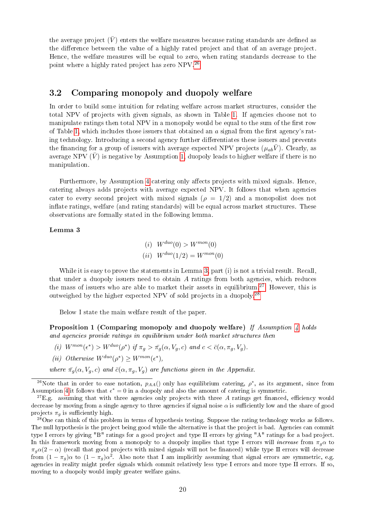the average project  $(\bar{V})$  enters the welfare measures because rating standards are defined as the difference between the value of a highly rated project and that of an average project. Hence, the welfare measures will be equal to zero, when rating standards decrease to the point where a highly rated project has zero NPV.[26](#page-19-0)

### 3.2 Comparing monopoly and duopoly welfare

In order to build some intuition for relating welfare across market structures, consider the total NPV of projects with given signals, as shown in Table [1.](#page-18-3) If agencies choose not to manipulate ratings then total NPV in a monopoly would be equal to the sum of the first row of Table [1,](#page-18-3) which includes those issuers that obtained an  $a$  signal from the first agency's rating technology. Introducing a second agency further differentiates these issuers and prevents the financing for a group of issuers with average expected NPV projects  $(\mu_{ab}\bar{V})$ . Clearly, as average NPV  $(\bar{V})$  is negative by Assumption [1,](#page-4-3) duopoly leads to higher welfare if there is no manipulation.

Furthermore, by Assumption [4](#page-17-0) catering only affects projects with mixed signals. Hence, catering always adds projects with average expected NPV. It follows that when agencies cater to every second project with mixed signals  $(\rho = 1/2)$  and a monopolist does not inflate ratings, welfare (and rating standards) will be equal across market structures. These observations are formally stated in the following lemma.

#### <span id="page-19-1"></span>Lemma 3

(i) 
$$
W^{duo}(0) > W^{mon}(0)
$$
  
(ii)  $W^{duo}(1/2) = W^{mon}(0)$ 

While it is easy to prove the statements in Lemma [3,](#page-19-1) part (i) is not a trivial result. Recall, that under a duopoly issuers need to obtain  $A$  ratings from both agencies, which reduces the mass of issuers who are able to market their assets in equilibrium.<sup>[27](#page-19-2)</sup> However, this is outweighed by the higher expected NPV of sold projects in a duopoly.[28](#page-19-3)

Below I state the main welfare result of the paper.

<span id="page-19-4"></span>**Proposition 1 (Comparing monopoly and duopoly welfare)** If Assumption [4](#page-17-0) holds and agencies provide ratings in equilibrium under both market structures then

(i)  $W^{mon}(\epsilon^*) > W^{duo}(\rho^*)$  if  $\pi_g > \pi_g(\alpha, V_g, c)$  and  $c < \bar{c}(\alpha, \pi_g, V_g)$ .

(ii) Otherwise 
$$
W^{duo}(\rho^*) \geq W^{mon}(\epsilon^*),
$$

where  $\bar{\pi}_q(\alpha, V_q, c)$  and  $\bar{c}(\alpha, \pi_q, V_q)$  are functions given in the Appendix.

<span id="page-19-3"></span><sup>28</sup>One can think of this problem in terms of hypothesis testing. Suppose the rating technology works as follows. The null hypothesis is the project being good while the alternative is that the project is bad. Agencies can commit type I errors by giving "B" ratings for a good project and type II errors by giving "A" ratings for a bad project. In this framework moving from a monopoly to a duopoly implies that type I errors will *increase* from  $\pi_q \alpha$  to  $\pi_q\alpha(2-\alpha)$  (recall that good projects with mixed signals will not be financed) while type II errors will decrease from  $(1 - \pi_g)\alpha$  to  $(1 - \pi_g)\alpha^2$ . Also note that I am implicitly assuming that signal errors are symmetric, e.g. agencies in reality might prefer signals which commit relatively less type I errors and more type II errors. If so, moving to a duopoly would imply greater welfare gains.

<span id="page-19-0"></span><sup>&</sup>lt;sup>26</sup>Note that in order to ease notation,  $p_{AA}()$  only has equilibrium catering,  $\rho^*$ , as its argument, since from Assumption [4](#page-17-0) it follows that  $\epsilon^* = 0$  in a duopoly and also the amount of catering is symmetric.

<span id="page-19-2"></span> $27E.g.$  assuming that with three agencies only projects with three A ratings get financed, efficiency would decrease by moving from a single agency to three agencies if signal noise  $\alpha$  is sufficiently low and the share of good projects  $\pi_q$  is sufficiently high.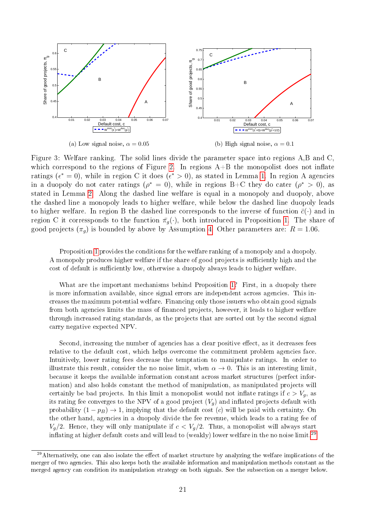<span id="page-20-1"></span>

Figure 3: Welfare ranking. The solid lines divide the parameter space into regions A,B and C, which correspond to the regions of Figure [2.](#page-14-0) In regions  $A+B$  the monopolist does not inflate ratings ( $\epsilon^* = 0$ ), while in region C it does ( $\epsilon^* > 0$ ), as stated in Lemma [1.](#page-9-4) In region A agencies in a duopoly do not cater ratings ( $\rho^* = 0$ ), while in regions B+C they do cater ( $\rho^* > 0$ ), as stated in Lemma [2.](#page-12-2) Along the dashed line welfare is equal in a monopoly and duopoly, above the dashed line a monopoly leads to higher welfare, while below the dashed line duopoly leads to higher welfare. In region B the dashed line corresponds to the inverse of function  $\bar{c}(\cdot)$  and in region C it corressponds to the function  $\pi_g(\cdot)$ , both introduced in Proposition [1.](#page-19-4) The share of good projects  $(\pi_g)$  is bounded by above by Assumption [4.](#page-17-0) Other parameters are:  $R = 1.06$ .

Proposition [1](#page-19-4) provides the conditions for the welfare ranking of a monopoly and a duopoly. A monopoly produces higher welfare if the share of good projects is sufficiently high and the cost of default is sufficiently low, otherwise a duopoly always leads to higher welfare.

What are the important mechanisms behind Proposition [1?](#page-19-4) First, in a duopoly there is more information available, since signal errors are independent across agencies. This increases the maximum potential welfare. Financing only those issuers who obtain good signals from both agencies limits the mass of financed projects, however, it leads to higher welfare through increased rating standards, as the projects that are sorted out by the second signal carry negative expected NPV.

Second, increasing the number of agencies has a clear positive effect, as it decreases fees relative to the default cost, which helps overcome the commitment problem agencies face. Intuitively, lower rating fees decrease the temptation to manipulate ratings. In order to illustrate this result, consider the no noise limit, when  $\alpha \to 0$ . This is an interesting limit. because it keeps the available information constant across market structures (perfect information) and also holds constant the method of manipulation, as manipulated projects will certainly be bad projects. In this limit a monopolist would not inflate ratings if  $c > V_q$ , as its rating fee converges to the NPV of a good project  $(V_g)$  and inflated projects default with probability  $(1 - p_B) \rightarrow 1$ , implying that the default cost (c) will be paid with certainty. On the other hand, agencies in a duopoly divide the fee revenue, which leads to a rating fee of  $V_g/2$ . Hence, they will only manipulate if  $c < V_g/2$ . Thus, a monopolist will always start inflating at higher default costs and will lead to (weakly) lower welfare in the no noise limit.<sup>[29](#page-20-0)</sup>

<span id="page-20-0"></span> $^{29}$ Alternatively, one can also isolate the effect of market structure by analyzing the welfare implications of the merger of two agencies. This also keeps both the available information and manipulation methods constant as the merged agency can condition its manipulation strategy on both signals. See the subsection on a merger below.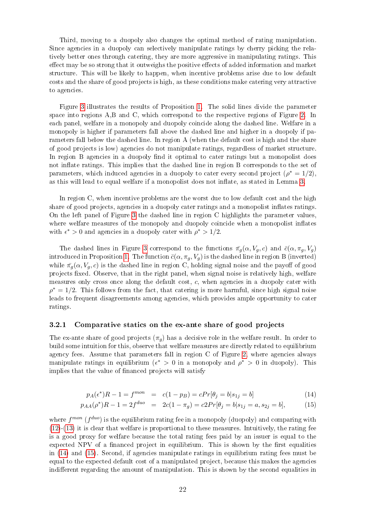Third, moving to a duopoly also changes the optimal method of rating manipulation. Since agencies in a duopoly can selectively manipulate ratings by cherry picking the relatively better ones through catering, they are more aggressive in manipulating ratings. This effect may be so strong that it outweighs the positive effects of added information and market structure. This will be likely to happen, when incentive problems arise due to low default costs and the share of good projects is high, as these conditions make catering very attractive to agencies.

Figure [3](#page-20-1) illustrates the results of Proposition [1.](#page-19-4) The solid lines divide the parameter space into regions A,B and C, which correspond to the respective regions of Figure [2.](#page-14-0) In each panel, welfare in a monopoly and duopoly coincide along the dashed line. Welfare in a monopoly is higher if parameters fall above the dashed line and higher in a duopoly if parameters fall below the dashed line. In region A (when the default cost is high and the share of good projects is low) agencies do not manipulate ratings, regardless of market structure. In region B agencies in a duopoly find it optimal to cater ratings but a monopolist does not inflate ratings. This implies that the dashed line in region B corresponds to the set of parameters, which induced agencies in a duopoly to cater every second project  $(\rho^* = 1/2)$ , as this will lead to equal welfare if a monopolist does not inflate, as stated in Lemma [3.](#page-19-1)

In region C, when incentive problems are the worst due to low default cost and the high share of good projects, agencies in a duopoly cater ratings and a monopolist inflates ratings. On the left panel of Figure [3](#page-20-1) the dashed line in region C highlights the parameter values, where welfare measures of the monopoly and duopoly coincide when a monopolist inflates with  $\epsilon^* > 0$  and agencies in a duopoly cater with  $\rho^* > 1/2$ .

The dashed lines in Figure [3](#page-20-1) correspond to the functions  $\bar{\pi}_g(\alpha, V_g, c)$  and  $\bar{c}(\alpha, \pi_g, V_g)$ introduced in Proposition [1.](#page-19-4) The function  $\bar{c}(\alpha, \pi_g, V_g)$  is the dashed line in region B (inverted) while  $\bar{\pi}_q(\alpha, V_q, c)$  is the dashed line in region C, holding signal noise and the payoff of good projects fixed. Observe, that in the right panel, when signal noise is relatively high, welfare measures only cross once along the default cost, c, when agencies in a duopoly cater with  $\rho^* = 1/2$ . This follows from the fact, that catering is more harmful, since high signal noise leads to frequent disagreements among agencies, which provides ample opportunity to cater ratings.

#### 3.2.1 Comparative statics on the ex-ante share of good projects

The ex-ante share of good projects  $(\pi_q)$  has a decisive role in the welfare result. In order to build some intuition for this, observe that welfare measures are directly related to equilibrium agency fees. Assume that parameters fall in region C of Figure [2,](#page-14-0) where agencies always manipulate ratings in equilibrium ( $\epsilon^* > 0$  in a monopoly and  $\rho^* > 0$  in duopoly). This implies that the value of financed projects will satisfy

<span id="page-21-0"></span>
$$
p_A(\epsilon^*)R - 1 = f^{mon} = c(1 - p_B) = cPr[\theta_j = b|s_{1j} = b]
$$
\n(14)

$$
p_{AA}(\rho^*)R - 1 = 2f^{duo} = 2c(1 - \pi_g) = c2Pr[\theta_j = b|s_{1j} = a, s_{2j} = b],
$$
 (15)

where  $f^{mon}$  ( $f^{duo}$ ) is the equilibrium rating fee in a monopoly (duopoly) and comparing with  $(12)-(13)$  $(12)-(13)$  $(12)-(13)$  it is clear that welfare is proportional to these measures. Intuitively, the rating fee is a good proxy for welfare because the total rating fees paid by an issuer is equal to the expected NPV of a financed project in equilibrium. This is shown by the first equalities in [\(14\)](#page-21-0) and [\(15\)](#page-21-0). Second, if agencies manipulate ratings in equilibrium rating fees must be equal to the expected default cost of a manipulated project, because this makes the agencies indifferent regarding the amount of manipulation. This is shown by the second equalities in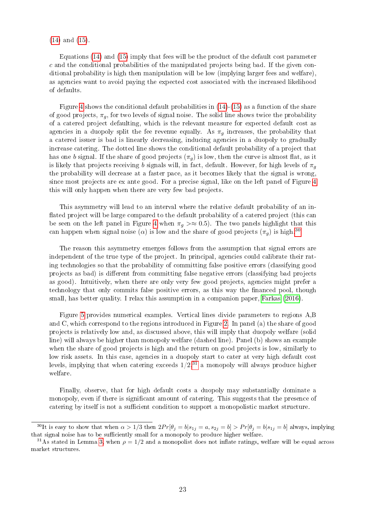[\(14\)](#page-21-0) and [\(15\)](#page-21-0).

Equations [\(14\)](#page-21-0) and [\(15\)](#page-21-0) imply that fees will be the product of the default cost parameter  $c$  and the conditional probabilities of the manipulated projects being bad. If the given conditional probability is high then manipulation will be low (implying larger fees and welfare), as agencies want to avoid paying the expected cost associated with the increased likelihood of defaults.

Figure [4](#page-23-0) shows the conditional default probabilities in  $(14)-(15)$  $(14)-(15)$  $(14)-(15)$  as a function of the share of good projects,  $\pi_q$ , for two levels of signal noise. The solid line shows twice the probability of a catered project defaulting, which is the relevant measure for expected default cost as agencies in a duopoly split the fee revenue equally. As  $\pi_q$  increases, the probability that a catered issuer is bad is linearly decreasing, inducing agencies in a duopoly to gradually increase catering. The dotted line shows the conditional default probability of a project that has one b signal. If the share of good projects  $(\pi_q)$  is low, then the curve is almost flat, as it is likely that projects receiving b signals will, in fact, default. However, for high levels of  $\pi_q$ the probability will decrease at a faster pace, as it becomes likely that the signal is wrong, since most projects are ex ante good. For a precise signal, like on the left panel of Figure [4](#page-23-0) this will only happen when there are very few bad projects.

This asymmetry will lead to an interval where the relative default probability of an in flated project will be large compared to the default probability of a catered project (this can be seen on the left panel in Figure [4](#page-23-0) when  $\pi_q > \approx 0.5$ ). The two panels highlight that this can happen when signal noise ( $\alpha$ ) is low and the share of good projects ( $\pi_q$ ) is high.<sup>[30](#page-22-0)</sup>

The reason this asymmetry emerges follows from the assumption that signal errors are independent of the true type of the project. In principal, agencies could calibrate their rating technologies so that the probability of committing false positive errors (classifying good projects as bad) is dierent from committing false negative errors (classifying bad projects as good). Intuitively, when there are only very few good projects, agencies might prefer a technology that only commits false positive errors, as this way the financed pool, though small, has better quality. I relax this assumption in a companion paper, [Farkas](#page-29-9) [\(2016\)](#page-29-9).

Figure [5](#page-25-0) provides numerical examples. Vertical lines divide parameters to regions A,B and C, which correspond to the regions introduced in Figure [2.](#page-14-0) In panel (a) the share of good projects is relatively low and, as discussed above, this will imply that duopoly welfare (solid line) will always be higher than monopoly welfare (dashed line). Panel (b) shows an example when the share of good projects is high and the return on good projects is low, similarly to low risk assets. In this case, agencies in a duopoly start to cater at very high default cost levels, implying that when catering exceeds  $1/2$ ,  $3\frac{1}{1}$  a monopoly will always produce higher welfare.

Finally, observe, that for high default costs a duopoly may substantially dominate a monopoly, even if there is significant amount of catering. This suggests that the presence of catering by itself is not a sufficient condition to support a monopolistic market structure.

<span id="page-22-0"></span><sup>&</sup>lt;sup>30</sup>It is easy to show that when  $\alpha > 1/3$  then  $2Pr[\theta_i = b | s_{1i} = a, s_{2i} = b] > Pr[\theta_i = b | s_{1i} = b]$  always, implying that signal noise has to be sufficiently small for a monopoly to produce higher welfare.

<span id="page-22-1"></span><sup>&</sup>lt;sup>31</sup>As stated in Lemma [3,](#page-19-1) when  $\rho = 1/2$  and a monopolist does not inflate ratings, welfare will be equal across market structures.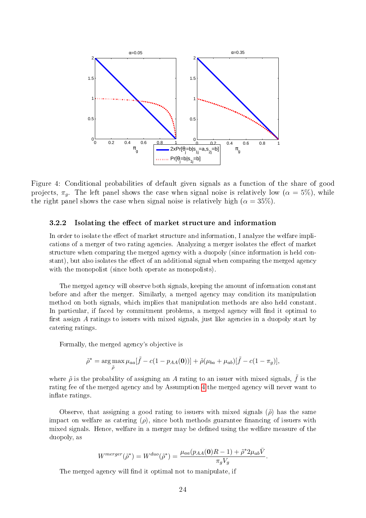<span id="page-23-0"></span>

Figure 4: Conditional probabilities of default given signals as a function of the share of good projects,  $\pi_q$ . The left panel shows the case when signal noise is relatively low ( $\alpha = 5\%$ ), while the right panel shows the case when signal noise is relatively high ( $\alpha = 35\%$ ).

#### 3.2.2 Isolating the effect of market structure and information

In order to isolate the effect of market structure and information, I analyze the welfare implications of a merger of two rating agencies. Analyzing a merger isolates the effect of market structure when comparing the merged agency with a duopoly (since information is held constant), but also isolates the effect of an additional signal when comparing the merged agency with the monopolist (since both operate as monopolists).

The merged agency will observe both signals, keeping the amount of information constant before and after the merger. Similarly, a merged agency may condition its manipulation method on both signals, which implies that manipulation methods are also held constant. In particular, if faced by commitment problems, a merged agency will find it optimal to first assign  $A$  ratings to issuers with mixed signals, just like agencies in a duopoly start by catering ratings.

Formally, the merged agency's objective is

<span id="page-23-1"></span>
$$
\tilde{\rho}^* = \arg \max_{\tilde{\rho}} \mu_{aa}[\tilde{f} - c(1 - p_{AA}(\mathbf{0}))] + \tilde{\rho}(\mu_{ba} + \mu_{ab})[\tilde{f} - c(1 - \pi_g)],
$$

where  $\tilde{\rho}$  is the probability of assigning an A rating to an issuer with mixed signals,  $\tilde{f}$  is the rating fee of the merged agency and by Assumption [4](#page-17-0) the merged agency will never want to inflate ratings.

Observe, that assigning a good rating to issuers with mixed signals  $(\tilde{\rho})$  has the same impact on welfare as catering  $(\rho)$ , since both methods guarantee financing of issuers with mixed signals. Hence, welfare in a merger may be defined using the welfare measure of the duopoly, as

$$
W^{merger}(\tilde{\rho}^*) = W^{duo}(\tilde{\rho}^*) = \frac{\mu_{aa}(p_{AA}(\mathbf{0})R - 1) + \tilde{\rho}^* 2\mu_{ab}\bar{V}}{\pi_g V_g}.
$$

The merged agency will find it optimal not to manipulate, if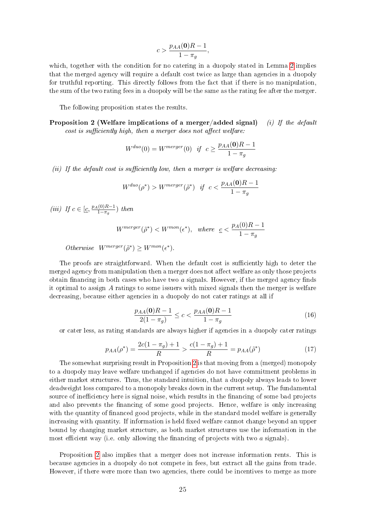$$
c > \frac{p_{AA}(\mathbf{0})R - 1}{1 - \pi_g},
$$

which, together with the condition for no catering in a duopoly stated in Lemma [2](#page-12-2) implies that the merged agency will require a default cost twice as large than agencies in a duopoly for truthful reporting. This directly follows from the fact that if there is no manipulation, the sum of the two rating fees in a duopoly will be the same as the rating fee after the merger.

The following proposition states the results.

<span id="page-24-0"></span>Proposition 2 (Welfare implications of a merger/added signal) (i) If the default  $cost$  is sufficiently high, then a merger does not affect welfare:

$$
W^{duo}(0) = W^{merger}(0) \quad \text{if} \quad c \ge \frac{p_{AA}(\mathbf{0})R - 1}{1 - \pi_g}
$$

(ii) If the default cost is sufficiently low, then a merger is welfare decreasing:

$$
W^{duo}(\rho^*) > W^{merger}(\tilde{\rho}^*) \quad \text{if} \quad c < \frac{p_{AA}(\mathbf{0})R - 1}{1 - \pi_g}
$$

(iii) If  $c \in [\underline{c}, \frac{p_A(0)R-1}{1-\pi}]$  $\frac{(0)R-1}{1-\pi_g}$ ) then

$$
W^{merger}(\tilde{\rho}^*) < W^{mon}(\epsilon^*), \quad where \quad \underline{c} < \frac{p_A(0)R - 1}{1 - \pi_g}
$$

Otherwise  $W^{merge}(\tilde{\rho}^*) \geq W^{mon}(\epsilon^*)$ .

The proofs are straightforward. When the default cost is sufficiently high to deter the merged agency from manipulation then a merger does not affect welfare as only those projects obtain financing in both cases who have two  $\alpha$  signals. However, if the merged agency finds it optimal to assign A ratings to some issuers with mixed signals then the merger is welfare decreasing, because either agencies in a duopoly do not cater ratings at all if

$$
\frac{p_{AA}(\mathbf{0})R - 1}{2(1 - \pi_g)} \le c < \frac{p_{AA}(\mathbf{0})R - 1}{1 - \pi_g} \tag{16}
$$

or cater less, as rating standards are always higher if agencies in a duopoly cater ratings

<span id="page-24-1"></span>
$$
p_{AA}(\rho^*) = \frac{2c(1 - \pi_g) + 1}{R} > \frac{c(1 - \pi_g) + 1}{R} = p_{AA}(\tilde{\rho}^*)
$$
\n(17)

The somewhat surprising result in Proposition [2](#page-24-0) is that moving from a (merged) monopoly to a duopoly may leave welfare unchanged if agencies do not have commitment problems in either market structures. Thus, the standard intuition, that a duopoly always leads to lower deadweight loss compared to a monopoly breaks down in the current setup. The fundamental source of inefficiency here is signal noise, which results in the financing of some bad projects and also prevents the financing of some good projects. Hence, welfare is only increasing with the quantity of financed good projects, while in the standard model welfare is generally increasing with quantity. If information is held fixed welfare cannot change beyond an upper bound by changing market structure, as both market structures use the information in the most efficient way (i.e. only allowing the financing of projects with two  $a$  signals).

Proposition [2](#page-24-0) also implies that a merger does not increase information rents. This is because agencies in a duopoly do not compete in fees, but extract all the gains from trade. However, if there were more than two agencies, there could be incentives to merge as more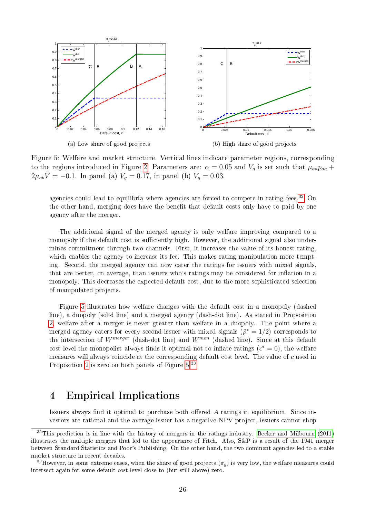<span id="page-25-0"></span>

Figure 5: Welfare and market structure. Vertical lines indicate parameter regions, corresponding to the regions introduced in Figure [2.](#page-14-0) Parameters are:  $\alpha = 0.05$  and  $V_g$  is set such that  $\mu_{aa}p_{aa}$  +  $2\mu_{ab}\bar{V} = -0.1$ . In panel (a)  $V_g = 0.17$ , in panel (b)  $V_g = 0.03$ .

agencies could lead to equilibria where agencies are forced to compete in rating fees.<sup>[32](#page-25-1)</sup> On the other hand, merging does have the benefit that default costs only have to paid by one agency after the merger.

The additional signal of the merged agency is only welfare improving compared to a monopoly if the default cost is sufficiently high. However, the additional signal also undermines commitment through two channels. First, it increases the value of its honest rating, which enables the agency to increase its fee. This makes rating manipulation more tempting. Second, the merged agency can now cater the ratings for issuers with mixed signals, that are better, on average, than issuers who's ratings may be considered for inflation in a monopoly. This decreases the expected default cost, due to the more sophisticated selection of manipulated projects.

Figure [5](#page-25-0) illustrates how welfare changes with the default cost in a monopoly (dashed line), a duopoly (solid line) and a merged agency (dash-dot line). As stated in Proposition [2,](#page-24-0) welfare after a merger is never greater than welfare in a duopoly. The point where a merged agency caters for every second issuer with mixed signals  $(\tilde{\rho}^* = 1/2)$  corresponds to the intersection of  $W^{merge}$  (dash-dot line) and  $W^{mon}$  (dashed line). Since at this default cost level the monopolist always finds it optimal not to inflate ratings ( $\epsilon^* = 0$ ), the welfare measures will always coincide at the corresponding default cost level. The value of  $c$  used in Proposition [2](#page-24-0) is zero on both panels of Figure [5.](#page-25-0)[33](#page-25-2)

## 4 Empirical Implications

Issuers always find it optimal to purchase both offered  $A$  ratings in equilibrium. Since investors are rational and the average issuer has a negative NPV project, issuers cannot shop

<span id="page-25-1"></span> $32$ This prediction is in line with the history of mergers in the ratings industry. [Becker and Milbourn](#page-29-0) [\(2011\)](#page-29-0) illustrates the multiple mergers that led to the appearance of Fitch. Also, S&P is a result of the 1941 merger between Standard Statistics and Poor's Publishing. On the other hand, the two dominant agencies led to a stable market structure in recent decades.

<span id="page-25-2"></span><sup>&</sup>lt;sup>33</sup>However, in some extreme cases, when the share of good projects  $(\pi_q)$  is very low, the welfare measures could intersect again for some default cost level close to (but still above) zero.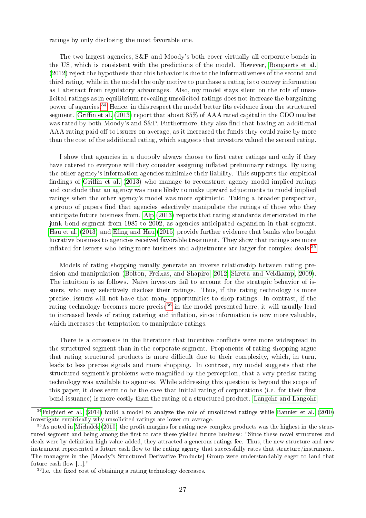ratings by only disclosing the most favorable one.

The two largest agencies, S&P and Moody's both cover virtually all corporate bonds in the US, which is consistent with the predictions of the model. However, [Bongaerts et al.](#page-29-10) [\(2012\)](#page-29-10) reject the hypothesis that this behavior is due to the informativeness of the second and third rating, while in the model the only motive to purchase a rating is to convey information as I abstract from regulatory advantages. Also, my model stays silent on the role of unsolicited ratings as in equilibrium revealing unsolicited ratings does not increase the bargaining power of agencies.<sup>[34](#page-26-0)</sup> Hence, in this respect the model better fits evidence from the structured segment. Griffin et al. [\(2013\)](#page-30-2) report that about 85% of AAA rated capital in the CDO market was rated by both Moody's and  $S\&P$ . Furthermore, they also find that having an additional AAA rating paid off to issuers on average, as it increased the funds they could raise by more than the cost of the additional rating, which suggests that investors valued the second rating.

I show that agencies in a duopoly always choose to first cater ratings and only if they have catered to everyone will they consider assigning inflated preliminary ratings. By using the other agency's information agencies minimize their liability. This supports the empirical findings of Griffin et al.  $(2013)$  who manage to reconstruct agency model implied ratings and conclude that an agency was more likely to make upward adjustments to model implied ratings when the other agency's model was more optimistic. Taking a broader perspective, a group of papers find that agencies selectively manipulate the ratings of those who they anticipate future business from. [Alp](#page-29-11) [\(2013\)](#page-29-11) reports that rating standards deteriorated in the junk bond segment from 1985 to 2002, as agencies anticipated expansion in that segment. [Hau et al.](#page-30-13) [\(2013\)](#page-30-13) and Efing and Hau [\(2015\)](#page-29-12) provide further evidence that banks who bought lucrative business to agencies received favorable treatment. They show that ratings are more inflated for issuers who bring more business and adjustments are larger for complex deals.<sup>[35](#page-26-1)</sup>

Models of rating shopping usually generate an inverse relationship between rating precision and manipulation [\(Bolton, Freixas, and Shapiro, 2012;](#page-29-2) [Skreta and Veldkamp, 2009\)](#page-30-4). The intuition is as follows. Naive investors fail to account for the strategic behavior of issuers, who may selectively disclose their ratings. Thus, if the rating technology is more precise, issuers will not have that many opportunities to shop ratings. In contrast, if the rating technology becomes more precise<sup>[36](#page-26-2)</sup> in the model presented here, it will usually lead to increased levels of rating catering and inflation, since information is now more valuable, which increases the temptation to manipulate ratings.

There is a consensus in the literature that incentive conflicts were more widespread in the structured segment than in the corporate segment. Proponents of rating shopping argue that rating structured products is more difficult due to their complexity, which, in turn, leads to less precise signals and more shopping. In contrast, my model suggests that the structured segment's problems were magnied by the perception, that a very precise rating technology was available to agencies. While addressing this question is beyond the scope of this paper, it does seem to be the case that initial rating of corporations (i.e. for their first bond issuance) is more costly than the rating of a structured product. [Langohr and Langohr](#page-30-14)

<span id="page-26-0"></span><sup>34</sup>[Fulghieri et al.](#page-29-13) [\(2014\)](#page-29-13) build a model to analyze the role of unsolicited ratings while [Bannier et al.](#page-29-14) [\(2010\)](#page-29-14) investigate empirically why unsolicited ratings are lower on average.

<span id="page-26-1"></span> $35\text{As}$  noted in [Michalek](#page-30-15) [\(2010\)](#page-30-15) the profit margins for rating new complex products was the highest in the structured segment and being among the first to rate these yielded future business: "Since these novel structures and deals were by definition high value added, they attracted a generous ratings fee. Thus, the new structure and new instrument represented a future cash flow to the rating agency that successfully rates that structure/instrument. The managers in the [Moody's Structured Derivative Products] Group were understandably eager to land that future cash flow  $[\ldots]$ ."

<span id="page-26-2"></span> $36$ I.e. the fixed cost of obtaining a rating technology decreases.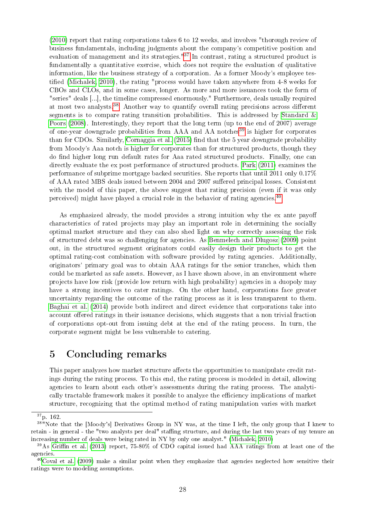[\(2010\)](#page-30-14) report that rating corporations takes 6 to 12 weeks, and involves "thorough review of business fundamentals, including judgments about the company's competitive position and evaluation of management and its strategies."<sup>[37](#page-27-0)</sup> In contrast, rating a structured product is fundamentally a quantitative exercise, which does not require the evaluation of qualitative information, like the business strategy of a corporation. As a former Moody's employee tes-tified [\(Michalek, 2010\)](#page-30-15), the rating "process would have taken anywhere from 4-8 weeks for CBOs and CLOs, and in some cases, longer. As more and more issuances took the form of "series" deals [...], the timeline compressed enormously." Furthermore, deals usually required at most two analysts.<sup>[38](#page-27-1)</sup> Another way to quantify overall rating precisions across different segments is to compare rating transition probabilities. This is addressed by [Standard &](#page-30-16) [Poors](#page-30-16) [\(2008\)](#page-30-16). Interestingly, they report that the long term (up to the end of 2007) average of one-year downgrade probabilities from AAA and AA notches<sup>[39](#page-27-2)</sup> is higher for corporates than for CDOs. Similarly, [Cornaggia et al.](#page-29-15)  $(2015)$  find that the 5 year downgrade probability from Moody's Aaa notch is higher for corporates than for structured products, though they do find higher long run default rates for Aaa rated structured products. Finally, one can directly evaluate the ex post performance of structured products. [Park](#page-30-17) [\(2011\)](#page-30-17) examines the performance of subprime mortgage backed securities. She reports that until 2011 only 0.17% of AAA rated MBS deals issued between 2004 and 2007 suffered principal losses. Consistent with the model of this paper, the above suggest that rating precision (even if it was only perceived) might have played a crucial role in the behavior of rating agencies.<sup>[40](#page-27-3)</sup>

As emphasized already, the model provides a strong intuition why the ex ante payoff characteristics of rated projects may play an important role in determining the socially optimal market structure and they can also shed light on why correctly assessing the risk of structured debt was so challenging for agencies. As [Benmelech and Dlugosz](#page-29-16) [\(2009\)](#page-29-16) point out, in the structured segment originators could easily design their products to get the optimal rating-cost combination with software provided by rating agencies. Additionally, originators' primary goal was to obtain AAA ratings for the senior tranches, which then could be marketed as safe assets. However, as I have shown above, in an environment where projects have low risk (provide low return with high probability) agencies in a duopoly may have a strong incentives to cater ratings. On the other hand, corporations face greater uncertainty regarding the outcome of the rating process as it is less transparent to them. [Baghai et al.](#page-29-17) [\(2014\)](#page-29-17) provide both indirect and direct evidence that corporations take into account offered ratings in their issuance decisions, which suggests that a non trivial fraction of corporations opt-out from issuing debt at the end of the rating process. In turn, the corporate segment might be less vulnerable to catering.

## 5 Concluding remarks

This paper analyzes how market structure affects the opportunities to manipulate credit ratings during the rating process. To this end, the rating process is modeled in detail, allowing agencies to learn about each other's assessments during the rating process. The analytically tractable framework makes it possible to analyze the efficiency implications of market structure, recognizing that the optimal method of rating manipulation varies with market

<span id="page-27-1"></span><span id="page-27-0"></span><sup>37</sup>p. 162.

<sup>&</sup>lt;sup>38"</sup>Note that the [Moody's] Derivatives Group in NY was, at the time I left, the only group that I knew to retain - in general - the "two analysts per deal" staffing structure, and during the last two years of my tenure an increasing number of deals were being rated in NY by only one analyst." [\(Michalek, 2010\)](#page-30-15)

<span id="page-27-2"></span><sup>&</sup>lt;sup>39</sup>As Griffin et al. [\(2013\)](#page-30-2) report, 75-80% of CDO capital issued had AAA ratings from at least one of the agencies.

<span id="page-27-3"></span> $40$ [Coval et al.](#page-29-1) [\(2009\)](#page-29-1) make a similar point when they emphasize that agencies neglected how sensitive their ratings were to modeling assumptions.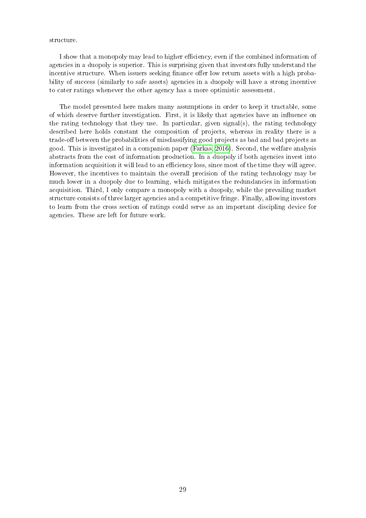#### structure.

I show that a monopoly may lead to higher efficiency, even if the combined information of agencies in a duopoly is superior. This is surprising given that investors fully understand the incentive structure. When issuers seeking finance offer low return assets with a high probability of success (similarly to safe assets) agencies in a duopoly will have a strong incentive to cater ratings whenever the other agency has a more optimistic assessment.

The model presented here makes many assumptions in order to keep it tractable, some of which deserve further investigation. First, it is likely that agencies have an inuence on the rating technology that they use. In particular, given signal(s), the rating technology described here holds constant the composition of projects, whereas in reality there is a trade-off between the probabilities of misclassifying good projects as bad and bad projects as good. This is investigated in a companion paper [\(Farkas, 2016\)](#page-29-9). Second, the welfare analysis abstracts from the cost of information production. In a duopoly if both agencies invest into information acquisition it will lead to an efficiency loss, since most of the time they will agree. However, the incentives to maintain the overall precision of the rating technology may be much lower in a duopoly due to learning, which mitigates the redundancies in information acquisition. Third, I only compare a monopoly with a duopoly, while the prevailing market structure consists of three larger agencies and a competitive fringe. Finally, allowing investors to learn from the cross section of ratings could serve as an important discipling device for agencies. These are left for future work.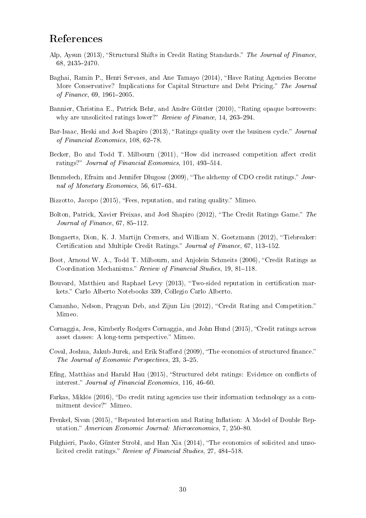## References

- <span id="page-29-11"></span>Alp, Aysun (2013), "Structural Shifts in Credit Rating Standards." The Journal of Finance. 68, 2435-2470.
- <span id="page-29-17"></span>Baghai, Ramin P., Henri Servaes, and Ane Tamayo (2014), "Have Rating Agencies Become More Conservative? Implications for Capital Structure and Debt Pricing." The Journal of Finance,  $69, 1961 - 2005$ .
- <span id="page-29-14"></span>Bannier, Christina E., Patrick Behr, and Andre Güttler (2010), "Rating opaque borrowers: why are unsolicited ratings lower?" Review of Finance, 14, 263-294.
- <span id="page-29-4"></span>Bar-Isaac, Heski and Joel Shapiro (2013), "Ratings quality over the business cycle." Journal of Financial Economics,  $108, 62-78$ .
- <span id="page-29-0"></span>Becker, Bo and Todd T. Milbourn (2011), "How did increased competition affect credit ratings?" Journal of Financial Economics, 101, 493-514.
- <span id="page-29-16"></span>Benmelech, Efraim and Jennifer Dlugosz (2009), "The alchemy of CDO credit ratings." Journal of Monetary Economics, 56, 617–634.
- <span id="page-29-8"></span>Bizzotto, Jacopo (2015), "Fees, reputation, and rating quality." Mimeo.
- <span id="page-29-2"></span>Bolton, Patrick, Xavier Freixas, and Joel Shapiro (2012), "The Credit Ratings Game." The Journal of Finance,  $67, 85-112$ .
- <span id="page-29-10"></span>Bongaerts, Dion, K. J. Martijn Cremers, and William N. Goetzmann (2012), "Tiebreaker: Certification and Multiple Credit Ratings." Journal of Finance, 67, 113–152.
- <span id="page-29-3"></span>Boot, Arnoud W. A., Todd T. Milbourn, and Anjolein Schmeits (2006), "Credit Ratings as Coordination Mechanisms." Review of Financial Studies, 19, 81-118.
- <span id="page-29-5"></span>Bouvard, Matthieu and Raphael Levy (2013), "Two-sided reputation in certification markets." Carlo Alberto Notebooks 339, Collegio Carlo Alberto.
- <span id="page-29-6"></span>Camanho, Nelson, Pragyan Deb, and Zijun Liu (2012), "Credit Rating and Competition." Mimeo.
- <span id="page-29-15"></span>Cornaggia, Jess, Kimberly Rodgers Cornaggia, and John Hund (2015), "Credit ratings across asset classes: A long-term perspective." Mimeo.
- <span id="page-29-1"></span>Coval, Joshua, Jakub Jurek, and Erik Stafford (2009), "The economics of structured finance." The Journal of Economic Perspectives, 23, 3-25.
- <span id="page-29-12"></span>Efing, Matthias and Harald Hau (2015), "Structured debt ratings: Evidence on conflicts of interest." Journal of Financial Economics, 116, 46-60.
- <span id="page-29-9"></span>Farkas, Miklós (2016), "Do credit rating agencies use their information technology as a commitment device?" Mimeo.
- <span id="page-29-7"></span>Frenkel, Sivan (2015), "Repeated Interaction and Rating Inflation: A Model of Double Reputation." American Economic Journal: Microeconomics, 7, 250-80.
- <span id="page-29-13"></span>Fulghieri, Paolo, Günter Strobl, and Han Xia (2014), "The economics of solicited and unsolicited credit ratings." Review of Financial Studies, 27, 484-518.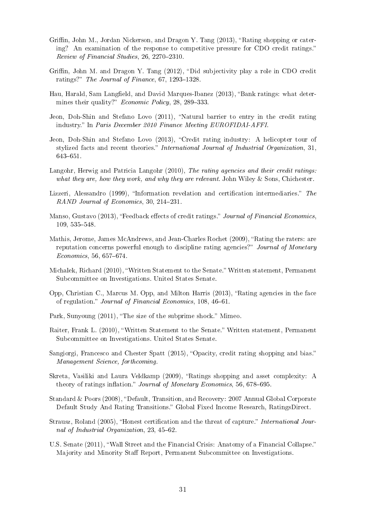- <span id="page-30-2"></span>Griffin, John M., Jordan Nickerson, and Dragon Y. Tang  $(2013)$ , "Rating shopping or catering? An examination of the response to competitive pressure for CDO credit ratings.  $Review of Financial Studies, 26, 2270-2310.$
- <span id="page-30-3"></span>Griffin, John M. and Dragon Y. Tang  $(2012)$ , "Did subjectivity play a role in CDO credit ratings?" The Journal of Finance,  $67, 1293-1328$ .
- <span id="page-30-13"></span>Hau, Harald, Sam Langfield, and David Marques-Ibanez (2013), "Bank ratings: what determines their quality?" *Economic Policy*,  $28, 289-333$ .
- <span id="page-30-10"></span>Jeon, Doh-Shin and Stefano Lovo (2011), "Natural barrier to entry in the credit rating industry. In Paris December 2010 Finance Meeting EUROFIDAI-AFFI.
- <span id="page-30-12"></span>Jeon, Doh-Shin and Stefano Lovo (2013), "Credit rating industry: A helicopter tour of stylized facts and recent theories." International Journal of Industrial Organization, 31. 643-651.
- <span id="page-30-14"></span>Langohr, Herwig and Patricia Langohr (2010), The rating agencies and their credit ratings: what they are, how they work, and why they are relevant. John Wiley & Sons, Chichester.
- <span id="page-30-11"></span>Lizzeri, Alessandro (1999), "Information revelation and certification intermediaries." The  $RAND$  Journal of Economics, 30, 214-231.
- <span id="page-30-7"></span>Manso, Gustavo (2013), "Feedback effects of credit ratings." Journal of Financial Economics. 109, 535-548.
- <span id="page-30-9"></span>Mathis, Jerome, James McAndrews, and Jean-Charles Rochet (2009), "Rating the raters: are reputation concerns powerful enough to discipline rating agencies?" Journal of Monetary  $Economics, 56, 657–674.$
- <span id="page-30-15"></span>Michalek, Richard (2010), "Written Statement to the Senate." Written statement, Permanent Subcommittee on Investigations. United States Senate.
- <span id="page-30-6"></span>Opp, Christian C., Marcus M. Opp, and Milton Harris  $(2013)$ , "Rating agencies in the face of regulation." Journal of Financial Economics, 108, 46-61.
- <span id="page-30-17"></span>Park, Sunyoung (2011), "The size of the subprime shock." Mimeo.
- <span id="page-30-1"></span>Raiter, Frank L. (2010), "Written Statement to the Senate." Written statement, Permanent Subcommittee on Investigations. United States Senate.
- <span id="page-30-5"></span>Sangiorgi, Francesco and Chester Spatt (2015), "Opacity, credit rating shopping and bias." Management Science, forthcoming.
- <span id="page-30-4"></span>Skreta, Vasiliki and Laura Veldkamp (2009), "Ratings shopping and asset complexity: A theory of ratings inflation." Journal of Monetary Economics, 56, 678–695.
- <span id="page-30-16"></span>Standard & Poors (2008), "Default, Transition, and Recovery: 2007 Annual Global Corporate Default Study And Rating Transitions." Global Fixed Income Research, RatingsDirect.
- <span id="page-30-8"></span>Strausz, Roland (2005), "Honest certification and the threat of capture." International Journal of Industrial Organization,  $23, 45-62$ .
- <span id="page-30-0"></span>U.S. Senate (2011), Wall Street and the Financial Crisis: Anatomy of a Financial Collapse. Majority and Minority Staff Report, Permanent Subcommittee on Investigations.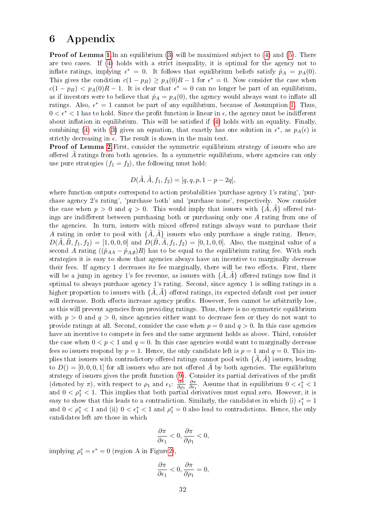## 6 Appendix

**Proof of Lemma [1.](#page-9-4)**In an equilibrium  $(3)$  will be maximized subject to  $(4)$  and  $(5)$ . There are two cases. If [\(4\)](#page-8-2) holds with a strict inequality, it is optimal for the agency not to inflate ratings, implying  $\epsilon^* = 0$ . It follows that equilibrium beliefs satisfy  $\hat{p}_A = p_A(0)$ . This gives the condition  $c(1 - p_B) \ge p_A(0)R - 1$  for  $\epsilon^* = 0$ . Now consider the case when  $c(1-p_B) < p_A(0)R - 1$ . It is clear that  $\epsilon^* = 0$  can no longer be part of an equilibrium, as if investors were to believe that  $\hat{p}_A = p_A(0)$ , the agency would always want to inflate all ratings. Also,  $\epsilon^* = 1$  cannot be part of any equilibrium, because of Assumption [1.](#page-4-3) Thus,  $0 < \epsilon^* < 1$  has to hold. Since the profit function is linear in  $\epsilon$ , the agency must be indifferent about inflation in equilibrium. This will be satisfied if  $(4)$  holds with an equality. Finally, combining [\(4\)](#page-8-2) with [\(3\)](#page-8-1) gives an equation, that exactly has one solution in  $\epsilon^*$ , as  $p_A(\epsilon)$  is strictly decreasing in  $\epsilon$ . The result is shown in the main text.

**Proof of Lemma [2.](#page-12-2)** First, consider the symmetric equilibrium strategy of issuers who are offerred  $A$  ratings from both agencies. In a symmetric equilibrium, where agencies can only use pure strategies  $(f_1 = f_2)$ , the following must hold:

$$
D(\tilde{A}, \tilde{A}, f_1, f_2) = [q, q, p, 1 - p - 2q],
$$

where function outputs correspond to action probabilities 'purchase agency 1's rating', 'purchase agency 2's rating', 'purchase both' and 'purchase none', respectively. Now consider the case when  $p > 0$  and  $q > 0$ . This would imply that issuers with  $\{\tilde{A}, \tilde{A}\}$  offered ratings are indifferent between purchasing both or purchasing only one  $A$  rating from one of the agencies. In turn, issuers with mixed offered ratings always want to purchase their A rating in order to pool with  $\{\tilde{A}, \tilde{A}\}$  issuers who only purchase a single rating. Hence,  $D(\tilde{A}, \tilde{B}, f_1, f_2) = [1, 0, 0, 0]$  and  $D(\tilde{B}, \tilde{A}, f_1, f_2) = [0, 1, 0, 0]$ . Also, the marginal value of a second A rating  $((\hat{p}_{AA} - \hat{p}_{A,\emptyset})R)$  has to be equal to the equilibrium rating fee. With such strategies it is easy to show that agencies always have an incentive to marginally decrease their fees. If agency 1 decreases its fee marginally, there will be two effects. First, there will be a jump in agency 1's fee revenue, as issuers with  $\{\tilde{A}, \tilde{A}\}$  offered ratings now find it optimal to always purchase agency 1's rating. Second, since agency 1 is selling ratings in a higher proportion to issuers with  $\{\tilde{A}, \tilde{A}\}$  offered ratings, its expected default cost per issuer will decrease. Both effects increase agency profits. However, fees cannot be arbitrarily low. as this will prevent agencies from providing ratings. Thus, there is no symmetric equilibrium with  $p > 0$  and  $q > 0$ , since agencies either want to decrease fees or they do not want to provide ratings at all. Second, consider the case when  $p = 0$  and  $q > 0$ . In this case agencies have an incentive to compete in fees and the same argument holds as above. Third, consider the case when  $0 < p < 1$  and  $q = 0$ . In this case agencies would want to marginally decrease fees so issuers respond by  $p = 1$ . Hence, the only candidate left is  $p = 1$  and  $q = 0$ . This implies that issuers with contradictory offered ratings cannot pool with  $\{\hat{A}, \hat{A}\}$  issuers, leading to  $D() = [0, 0, 0, 1]$  for all issuers who are not offered  $\tilde{A}$  by both agencies. The equilibrium strategy of issuers gives the profit function  $(9)$ . Consider its partial derivatives of the profit (denoted by  $\pi$ ), with respect to  $\rho_1$  and  $\epsilon_1$ :  $\frac{\partial \pi}{\partial \rho_1}$  $\partial \rho_1$  $\partial$ π  $\frac{\partial \pi}{\partial \epsilon_1}$ . Assume that in equilibrium  $0 < \epsilon_1^* < 1$ and  $0 < \rho_1^* < 1$ . This implies that both partial derivatives must equal zero. However, it is easy to show that this leads to a contradiction. Similarly, the candidates in which (i)  $\epsilon_1^* = 1$ and  $0 < \rho_1^* < 1$  and (ii)  $0 < \epsilon_1^* < 1$  and  $\rho_1^* = 0$  also lead to contradictions. Hence, the only candidates left are those in which

$$
\frac{\partial \pi}{\partial \epsilon_1} < 0, \frac{\partial \pi}{\partial \rho_1} < 0,
$$

implying  $\rho_1^* = \epsilon^* = 0$  (region A in Figur[e2\)](#page-14-0),

$$
\frac{\partial \pi}{\partial \epsilon_1} < 0, \frac{\partial \pi}{\partial \rho_1} = 0,
$$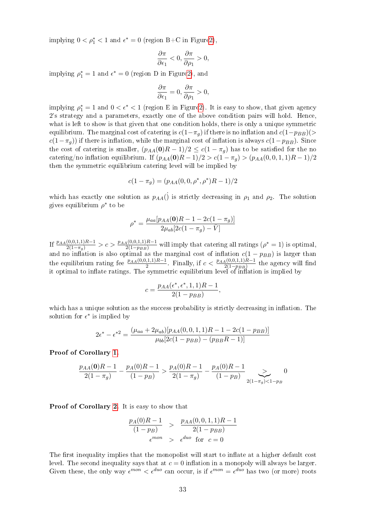implying  $0 < \rho_1^* < 1$  and  $\epsilon^* = 0$  (region B+C in Figur[e2\)](#page-14-0),

$$
\frac{\partial \pi}{\partial \epsilon_1} < 0, \frac{\partial \pi}{\partial \rho_1} > 0,
$$

implying  $\rho_1^* = 1$  and  $\epsilon^* = 0$  (region D in Figur[e2\)](#page-14-0), and

$$
\frac{\partial \pi}{\partial \epsilon_1} = 0, \frac{\partial \pi}{\partial \rho_1} > 0,
$$

implying  $\rho_1^* = 1$  and  $0 < \epsilon^* < 1$  (region E in Figur[e2\)](#page-14-0). It is easy to show, that given agency 2's strategy and a parameters, exactly one of the above condition pairs will hold. Hence, what is left to show is that given that one condition holds, there is only a unique symmetric equilibrium. The marginal cost of catering is  $c(1-\pi_q)$  if there is no inflation and  $c(1-p_{BB})(>$  $c(1-\pi_g)$ ) if there is inflation, while the marginal cost of inflation is always  $c(1-p_{BB})$ . Since the cost of catering is smaller,  $(p_{AA}(0)R-1)/2 \leq c(1-\pi_g)$  has to be satisfied for the no catering/no inflation equilibrium. If  $(p_{AA}(0)R-1)/2 > c(1-\pi_q) > (p_{AA}(0,0,1,1)R-1)/2$ then the symmetric equilibrium catering level will be implied by

$$
c(1 - \pi_g) = (p_{AA}(0, 0, \rho^*, \rho^*)R - 1)/2
$$

which has exactly one solution as  $p_{AA}(\dot{\theta})$  is strictly decreasing in  $\rho_1$  and  $\rho_2$ . The solution gives equilibrium  $\rho^*$  to be

$$
\rho^* = \frac{\mu_{aa}[p_{AA}(\mathbf{0})R - 1 - 2c(1 - \pi_g)]}{2\mu_{ab}[2c(1 - \pi_g) - \bar{V}]}
$$

If  $\frac{p_{AA}(0,0,1,1)R-1}{2(1-\pi_g)} > c > \frac{p_{AA}(0,0,1,1)R-1}{2(1-p_{BB})}$  will imply that catering all ratings  $(\rho^* = 1)$  is optimal, and no inflation is also optimal as the marginal cost of inflation  $c(1 - p_{BB})$  is larger than the equilibrium rating fee  $\frac{p_{AA}(0,0,1,1)R-1}{2}$ . Finally, if  $c < \frac{p_{AA}(0,0,1,1)R-1}{2(1-p_{BB})}$  the agency will find it optimal to inflate ratings. The symmetric equilibrium level of inflation is implied by

$$
c = \frac{p_{AA}(\epsilon^*, \epsilon^*, 1, 1)R - 1}{2(1 - p_{BB})},
$$

which has a unique solution as the success probability is strictly decreasing in inflation. The solution for  $\epsilon^*$  is implied by

$$
2\epsilon^* - \epsilon^{*2} = \frac{(\mu_{aa} + 2\mu_{ab})[p_{AA}(0, 0, 1, 1)R - 1 - 2c(1 - p_{BB})]}{\mu_{bb}[2c(1 - p_{BB}) - (p_{BB}R - 1)]}
$$

Proof of Corollary [1.](#page-14-1)

$$
\frac{p_{AA}(\mathbf{0})R - 1}{2(1 - \pi_g)} - \frac{p_A(0)R - 1}{(1 - p_B)} > \frac{p_A(0)R - 1}{2(1 - \pi_g)} - \frac{p_A(0)R - 1}{(1 - p_B)} \sum_{2(1 - \pi_g) < 1 - p_B} 0
$$

Proof of Corollary [2.](#page-15-0) It is easy to show that

$$
\frac{p_A(0)R - 1}{(1 - p_B)} > \frac{p_{AA}(0, 0, 1, 1)R - 1}{2(1 - p_{BB})}
$$
  
 $\epsilon^{mon} > \epsilon^{duo}$  for  $c = 0$ 

The first inequality implies that the monopolist will start to inflate at a higher default cost level. The second inequality says that at  $c = 0$  inflation in a monopoly will always be larger. Given these, the only way  $\epsilon^{mon} < \epsilon^{duo}$  can occur, is if  $\epsilon^{mon} = \epsilon^{duo}$  has two (or more) roots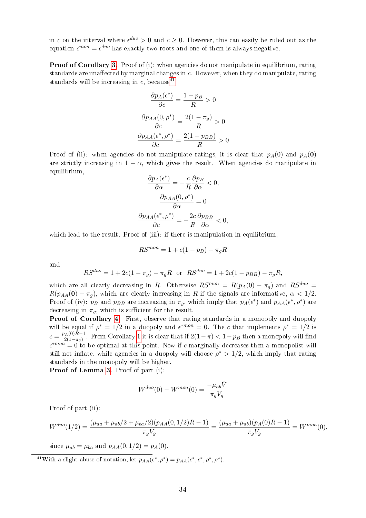in c on the interval where  $\epsilon^{duo} > 0$  and  $c \geq 0$ . However, this can easily be ruled out as the equation  $\epsilon^{mon} = \epsilon^{duo}$  has exactly two roots and one of them is always negative.

**Proof of Corollary [3.](#page-15-2)** Proof of (i): when agencies do not manipulate in equilibrium, rating standards are unaffected by marginal changes in  $c$ . However, when they do manipulate, rating standards will be increasing in c, because<sup>[41](#page-33-0)</sup>

$$
\frac{\partial p_A(\epsilon^*)}{\partial c} = \frac{1 - p_B}{R} > 0
$$

$$
\frac{\partial p_{AA}(0, \rho^*)}{\partial c} = \frac{2(1 - \pi_g)}{R} > 0
$$

$$
\frac{\partial p_{AA}(\epsilon^*, \rho^*)}{\partial c} = \frac{2(1 - p_{BB})}{R} > 0
$$

Proof of (ii): when agencies do not manipulate ratings, it is clear that  $p_A(0)$  and  $p_A(0)$ are strictly increasing in  $1 - \alpha$ , which gives the result. When agencies do manipulate in equilibrium,

$$
\frac{\partial p_A(\epsilon^*)}{\partial \alpha} = -\frac{c}{R} \frac{\partial p_B}{\partial \alpha} < 0,
$$
\n
$$
\frac{\partial p_{AA}(0, \rho^*)}{\partial \alpha} = 0
$$
\n
$$
\frac{\partial p_{AA}(\epsilon^*, \rho^*)}{\partial c} = -\frac{2c}{R} \frac{\partial p_{BB}}{\partial \alpha} < 0,
$$

which lead to the result. Proof of (iii): if there is manipulation in equilibrium,

$$
RS^{mon} = 1 + c(1 - p_B) - \pi_g R
$$

and

$$
RS^{duo} = 1 + 2c(1 - \pi_g) - \pi_g R \text{ or } RS^{duo} = 1 + 2c(1 - p_{BB}) - \pi_g R,
$$

which are all clearly decreasing in R. Otherwise  $RS^{mon} = R(p_A(0) - \pi_q)$  and  $RS^{duo} =$  $R(p_{AA}(\mathbf{0}) - \pi_q)$ , which are clearly increasing in R if the signals are informative,  $\alpha < 1/2$ . Proof of (iv):  $p_B$  and  $p_{BB}$  are increasing in  $\pi_g$ , which imply that  $p_A(\epsilon^*)$  and  $p_{AA}(\epsilon^*, \rho^*)$  are decreasing in  $\pi_q$ , which is sufficient for the result.

Proof of Corollary [4.](#page-16-1) First, observe that rating standards in a monopoly and duopoly will be equal if  $\rho^* = 1/2$  in a duopoly and  $\epsilon^{*mon} = 0$ . The c that implements  $\rho^* = 1/2$  is  $c = \frac{p_A(0)R-1}{2(1-\pi)}$  $\frac{2(1-\pi)}{2(1-\pi_g)}$ . From Corollary [1](#page-14-1) it is clear that if  $2(1-\pi) < 1-p_B$  then a monopoly will find  $\epsilon^{*mon} = 0$  to be optimal at this point. Now if c marginally decreases then a monopolist will still not inflate, while agencies in a duopoly will choose  $\rho^* > 1/2$ , which imply that rating standards in the monopoly will be higher.

Proof of Lemma [3.](#page-19-1) Proof of part (i):

$$
W^{duo}(0) - W^{mon}(0) = \frac{-\mu_{ab}\bar{V}}{\pi_g V_g}
$$

Proof of part (ii):

$$
W^{duo}(1/2) = \frac{(\mu_{aa} + \mu_{ab}/2 + \mu_{ba}/2)(p_{AA}(0,1/2)R - 1)}{\pi_g V_g} = \frac{(\mu_{aa} + \mu_{ab})(p_A(0)R - 1)}{\pi_g V_g} = W^{mon}(0),
$$

since  $\mu_{ab} = \mu_{ba}$  and  $p_{AA}(0, 1/2) = p_A(0)$ .

<span id="page-33-0"></span><sup>41</sup>With a slight abuse of notation, let  $p_{AA}(\epsilon^*, \rho^*) = p_{AA}(\epsilon^*, \epsilon^*, \rho^*, \rho^*).$